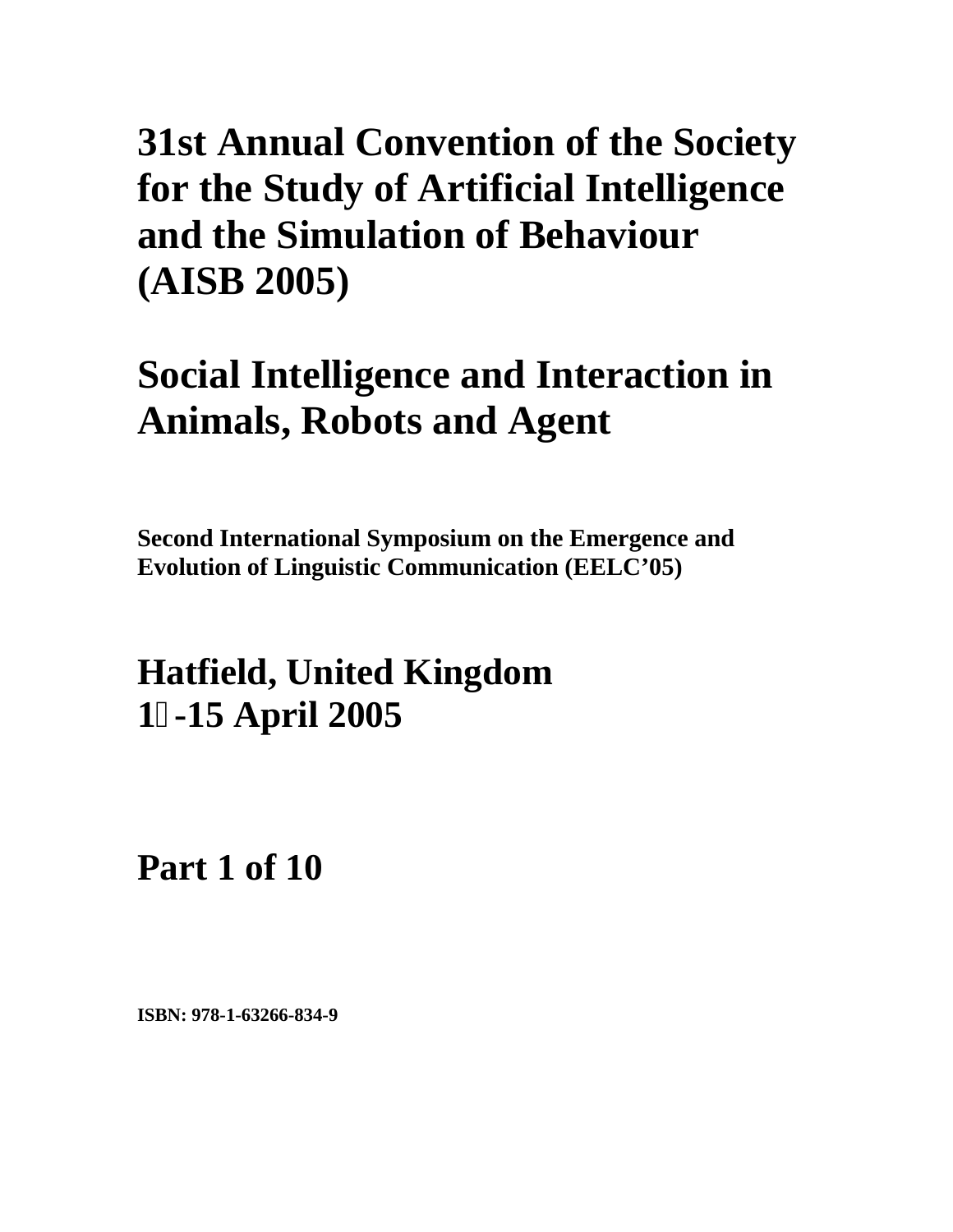## **Social Intelligence and Interaction in Animals, Robots and Agent**

**Second International Symposium on the Emergence and Evolution of Linguistic Communication (EELC'05)** 

**Hatfield, United Kingdom 1-15 April 2005**

**Part 1 of 10**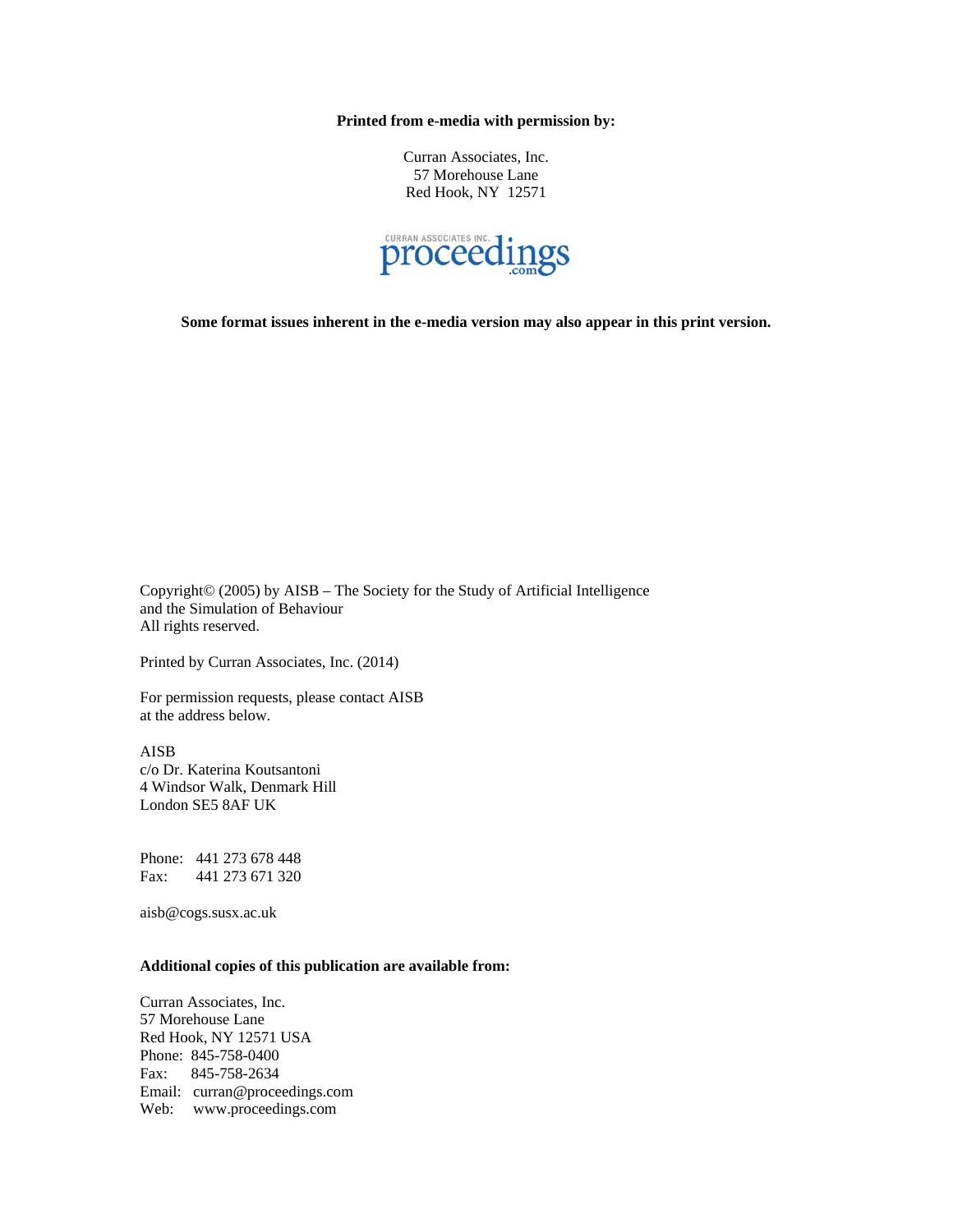**Printed from e-media with permission by:** 

Curran Associates, Inc. 57 Morehouse Lane Red Hook, NY 12571



**Some format issues inherent in the e-media version may also appear in this print version.** 

Copyright© (2005) by AISB – The Society for the Study of Artificial Intelligence and the Simulation of Behaviour All rights reserved.

Printed by Curran Associates, Inc. (2014)

For permission requests, please contact AISB at the address below.

AISB c/o Dr. Katerina Koutsantoni 4 Windsor Walk, Denmark Hill London SE5 8AF UK

Phone: 441 273 678 448 Fax: 441 273 671 320

aisb@cogs.susx.ac.uk

#### **Additional copies of this publication are available from:**

Curran Associates, Inc. 57 Morehouse Lane Red Hook, NY 12571 USA Phone: 845-758-0400 Fax: 845-758-2634 Email: curran@proceedings.com Web: www.proceedings.com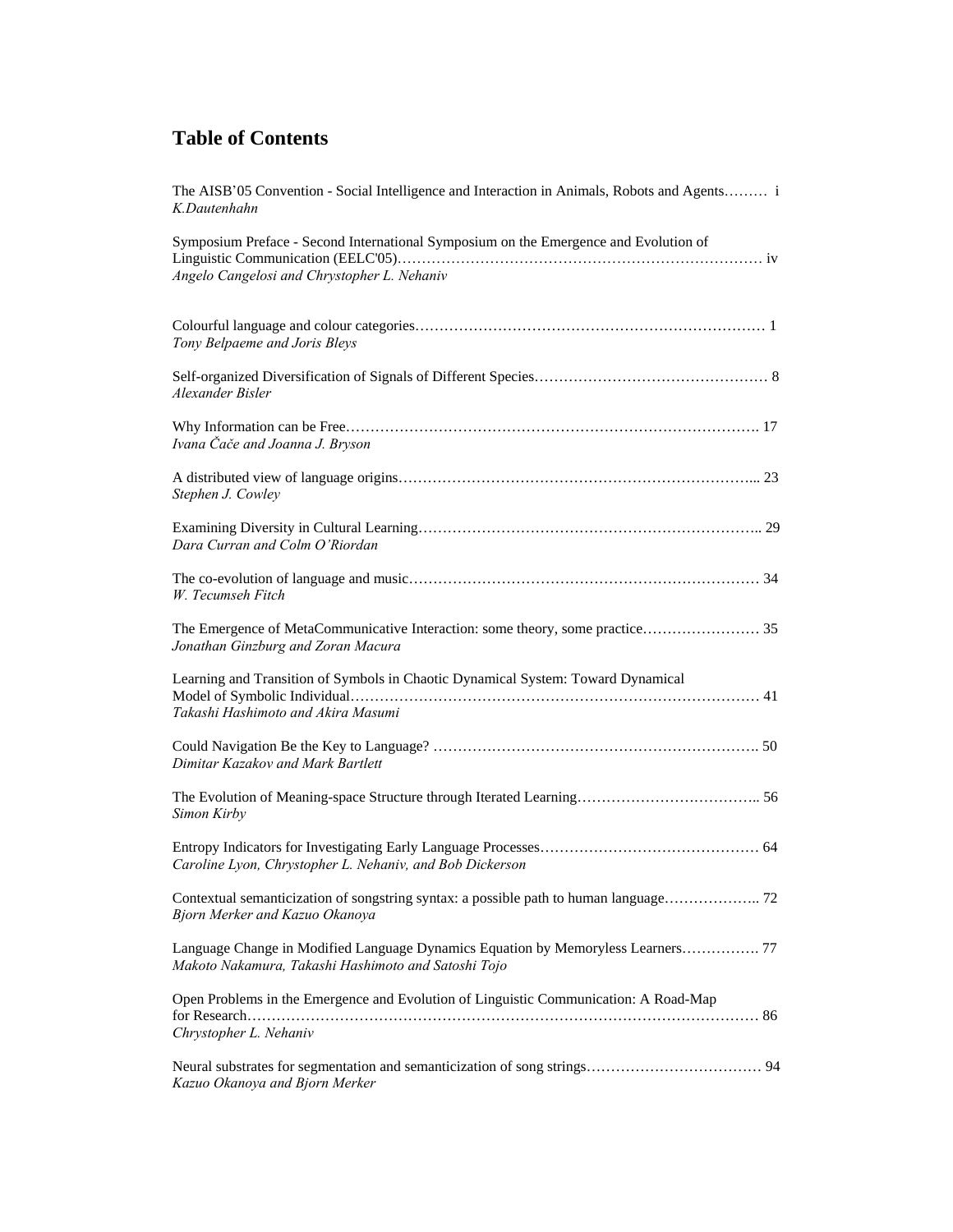| The AISB'05 Convention - Social Intelligence and Interaction in Animals, Robots and Agents i<br>K.Dautenhahn                            |
|-----------------------------------------------------------------------------------------------------------------------------------------|
| Symposium Preface - Second International Symposium on the Emergence and Evolution of<br>Angelo Cangelosi and Chrystopher L. Nehaniv     |
| Tony Belpaeme and Joris Bleys                                                                                                           |
| Alexander Bisler                                                                                                                        |
| Ivana Čače and Joanna J. Bryson                                                                                                         |
| Stephen J. Cowley                                                                                                                       |
| Dara Curran and Colm O'Riordan                                                                                                          |
| W. Tecumseh Fitch                                                                                                                       |
| The Emergence of MetaCommunicative Interaction: some theory, some practice 35<br>Jonathan Ginzburg and Zoran Macura                     |
| Learning and Transition of Symbols in Chaotic Dynamical System: Toward Dynamical<br>Takashi Hashimoto and Akira Masumi                  |
| Dimitar Kazakov and Mark Bartlett                                                                                                       |
| Simon Kirby                                                                                                                             |
| Caroline Lyon, Chrystopher L. Nehaniv, and Bob Dickerson                                                                                |
| Bjorn Merker and Kazuo Okanoya                                                                                                          |
| Language Change in Modified Language Dynamics Equation by Memoryless Learners 77<br>Makoto Nakamura, Takashi Hashimoto and Satoshi Tojo |
| Open Problems in the Emergence and Evolution of Linguistic Communication: A Road-Map<br>Chrystopher L. Nehaniv                          |
| Kazuo Okanoya and Bjorn Merker                                                                                                          |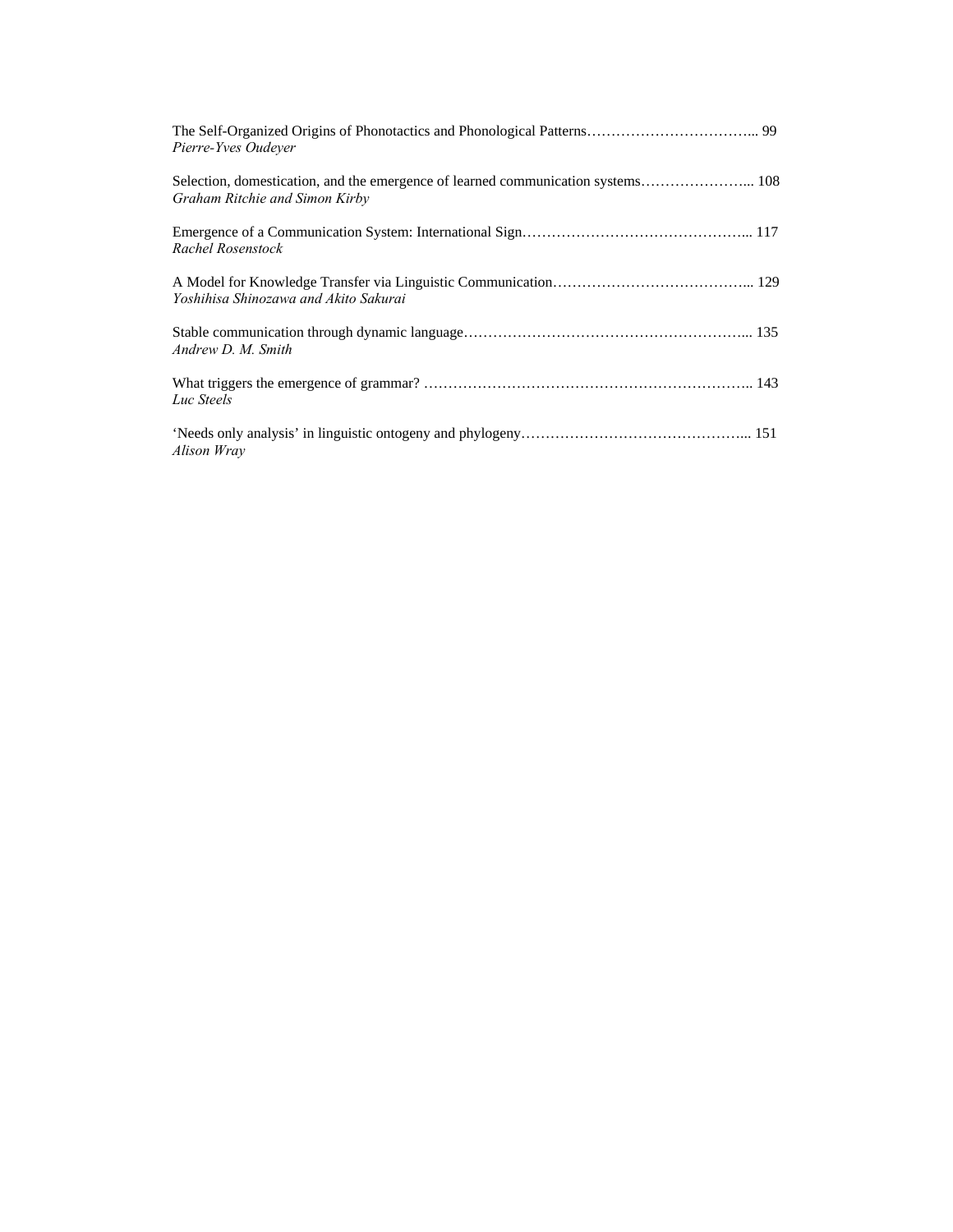| Pierre-Yves Oudever                   |
|---------------------------------------|
| Graham Ritchie and Simon Kirby        |
| Rachel Rosenstock                     |
| Yoshihisa Shinozawa and Akito Sakurai |
| Andrew D. M. Smith                    |
| Luc Steels                            |
| Alison Wray                           |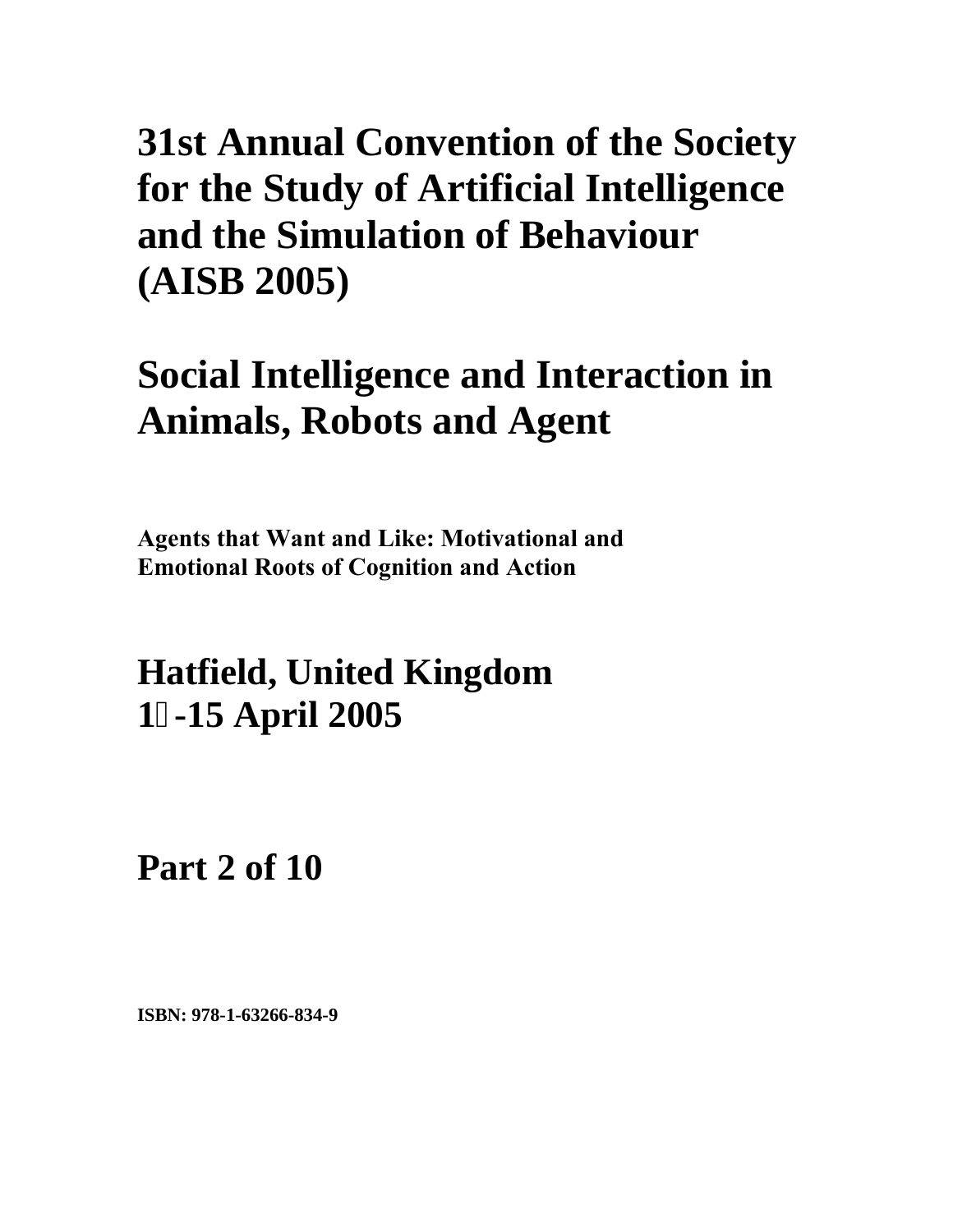## **Social Intelligence and Interaction in Animals, Robots and Agent**

**Agents that Want and Like: Motivational and Emotional Roots of Cognition and Action**

**Hatfield, United Kingdom 1-15 April 2005**

**Part 2 of 10**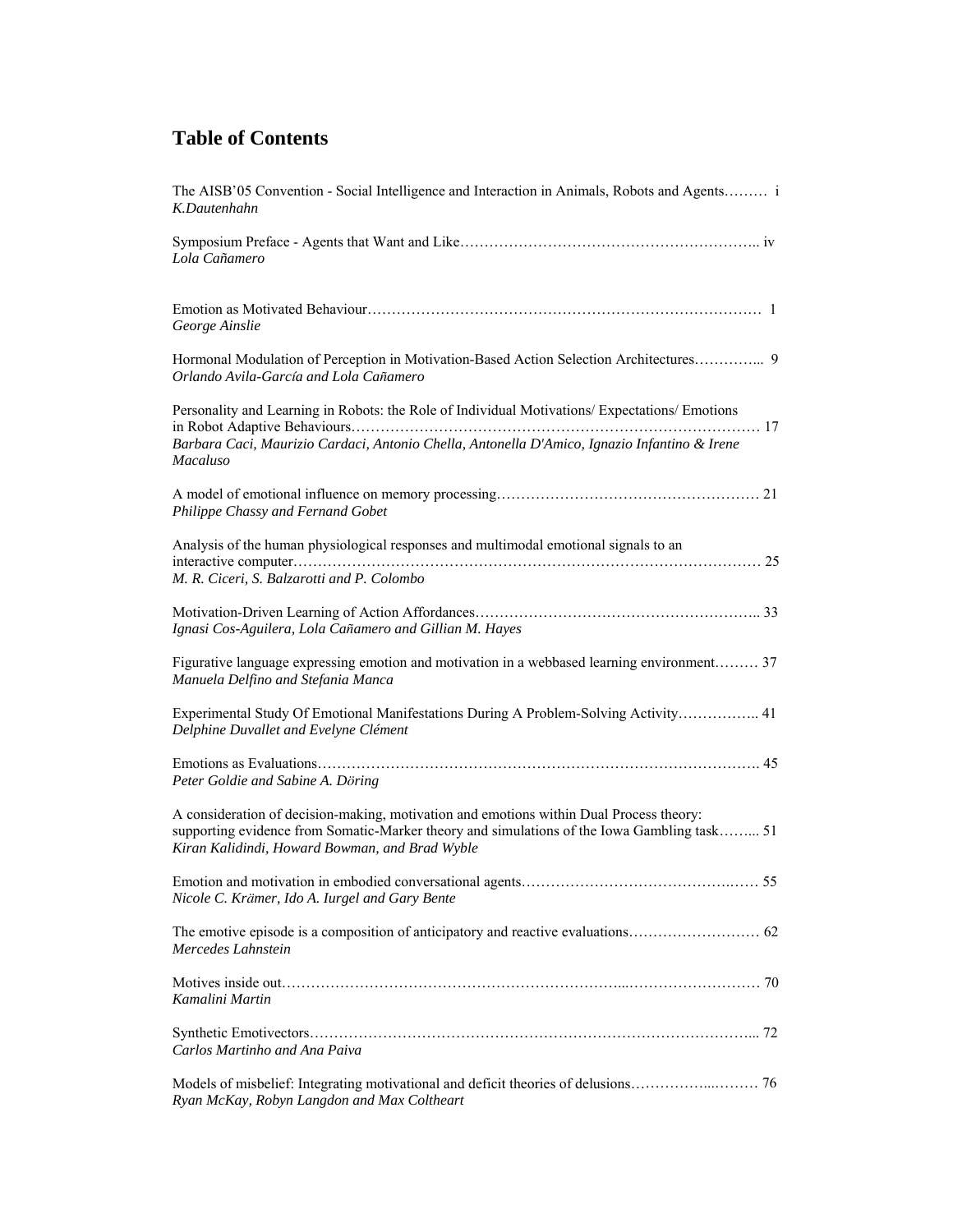| The AISB'05 Convention - Social Intelligence and Interaction in Animals, Robots and Agents i<br>K.Dautenhahn                                                                                                                             |
|------------------------------------------------------------------------------------------------------------------------------------------------------------------------------------------------------------------------------------------|
| Lola Cañamero                                                                                                                                                                                                                            |
| George Ainslie                                                                                                                                                                                                                           |
| Orlando Avila-García and Lola Cañamero                                                                                                                                                                                                   |
| Personality and Learning in Robots: the Role of Individual Motivations/ Expectations/ Emotions<br>Barbara Caci, Maurizio Cardaci, Antonio Chella, Antonella D'Amico, Ignazio Infantino & Irene<br><b>Macaluso</b>                        |
| Philippe Chassy and Fernand Gobet                                                                                                                                                                                                        |
| Analysis of the human physiological responses and multimodal emotional signals to an<br>M. R. Ciceri, S. Balzarotti and P. Colombo                                                                                                       |
| Ignasi Cos-Aguilera, Lola Cañamero and Gillian M. Hayes                                                                                                                                                                                  |
| Figurative language expressing emotion and motivation in a webbased learning environment 37<br>Manuela Delfino and Stefania Manca                                                                                                        |
| Experimental Study Of Emotional Manifestations During A Problem-Solving Activity 41<br>Delphine Duvallet and Evelyne Clément                                                                                                             |
| Peter Goldie and Sabine A. Döring                                                                                                                                                                                                        |
| A consideration of decision-making, motivation and emotions within Dual Process theory:<br>supporting evidence from Somatic-Marker theory and simulations of the Iowa Gambling task 51<br>Kiran Kalidindi, Howard Bowman, and Brad Wyble |
| Nicole C. Krämer, Ido A. Iurgel and Gary Bente                                                                                                                                                                                           |
| Mercedes Lahnstein                                                                                                                                                                                                                       |
| Kamalini Martin                                                                                                                                                                                                                          |
| Carlos Martinho and Ana Paiva                                                                                                                                                                                                            |
| Ryan McKay, Robyn Langdon and Max Coltheart                                                                                                                                                                                              |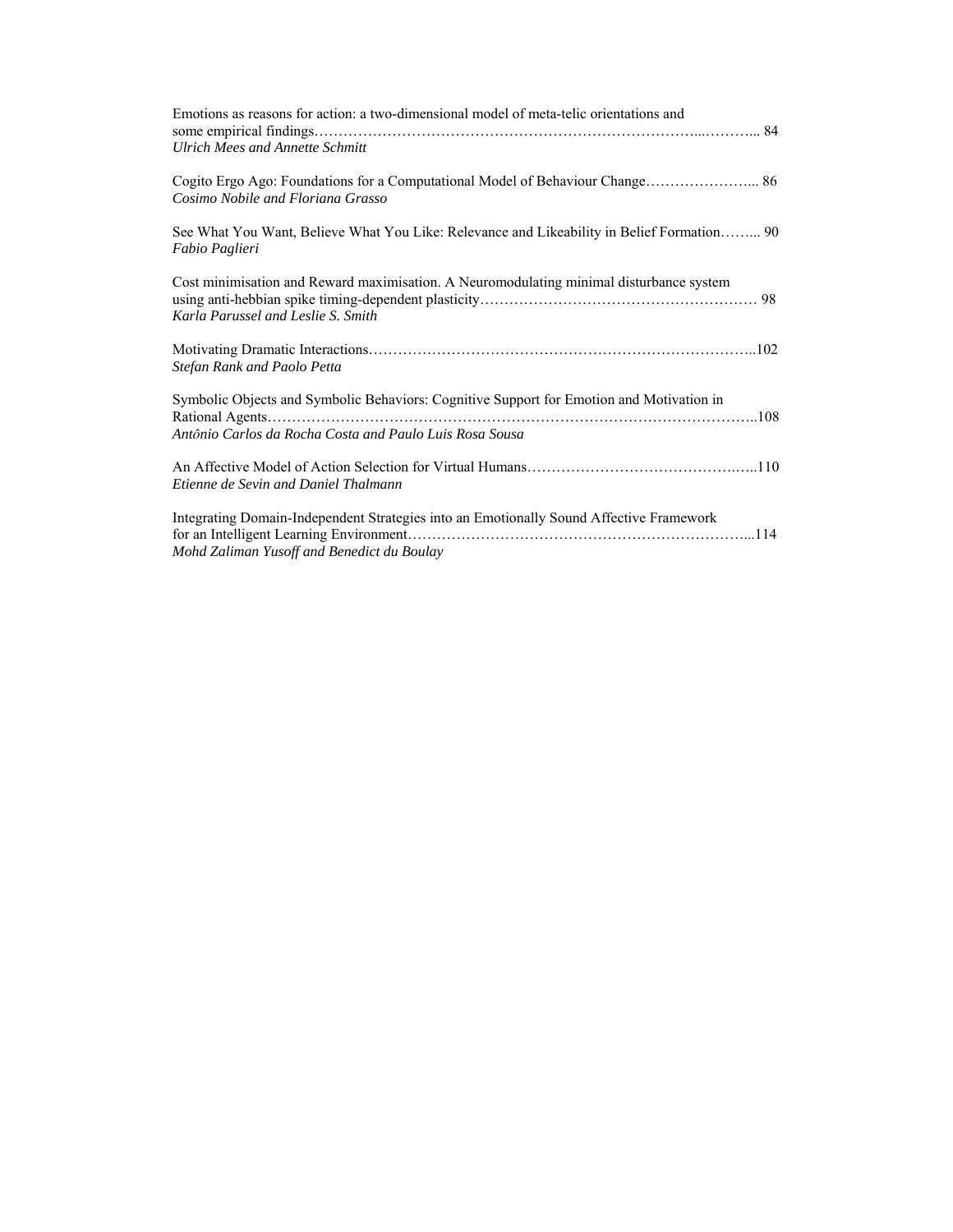| Emotions as reasons for action: a two-dimensional model of meta-telic orientations and<br><b>Ulrich Mees and Annette Schmitt</b>                    |
|-----------------------------------------------------------------------------------------------------------------------------------------------------|
| Cosimo Nobile and Floriana Grasso                                                                                                                   |
| See What You Want, Believe What You Like: Relevance and Likeability in Belief Formation 90<br>Fabio Paglieri                                        |
| Cost minimisation and Reward maximisation. A Neuromodulating minimal disturbance system<br>Karla Parussel and Leslie S. Smith                       |
| Stefan Rank and Paolo Petta                                                                                                                         |
| Symbolic Objects and Symbolic Behaviors: Cognitive Support for Emotion and Motivation in<br>Antônio Carlos da Rocha Costa and Paulo Luis Rosa Sousa |
| Etienne de Sevin and Daniel Thalmann                                                                                                                |
| Integrating Domain-Independent Strategies into an Emotionally Sound Affective Framework<br>Mohd Zaliman Yusoff and Benedict du Boulay               |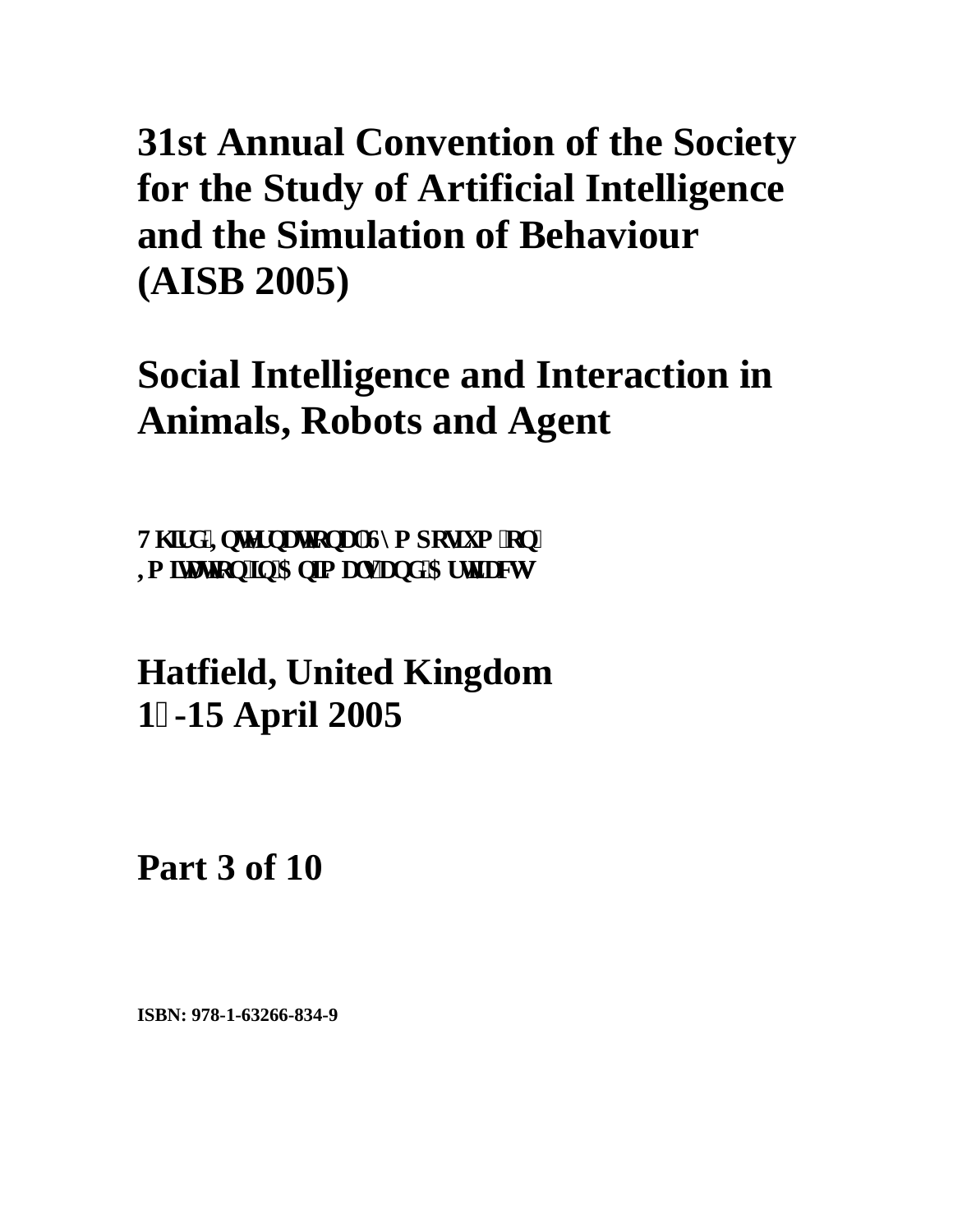## **Social Intelligence and Interaction in Animals, Robots and Agent**

**V**j **k** f '**K**pvgt pc vkqpcnU{ o r qukwo 'qp'' **K** kc wqp'lp'Cplo cn'c pf 'Ct whee w

**Hatfield, United Kingdom 1-15 April 2005**

**Part 3 of 10**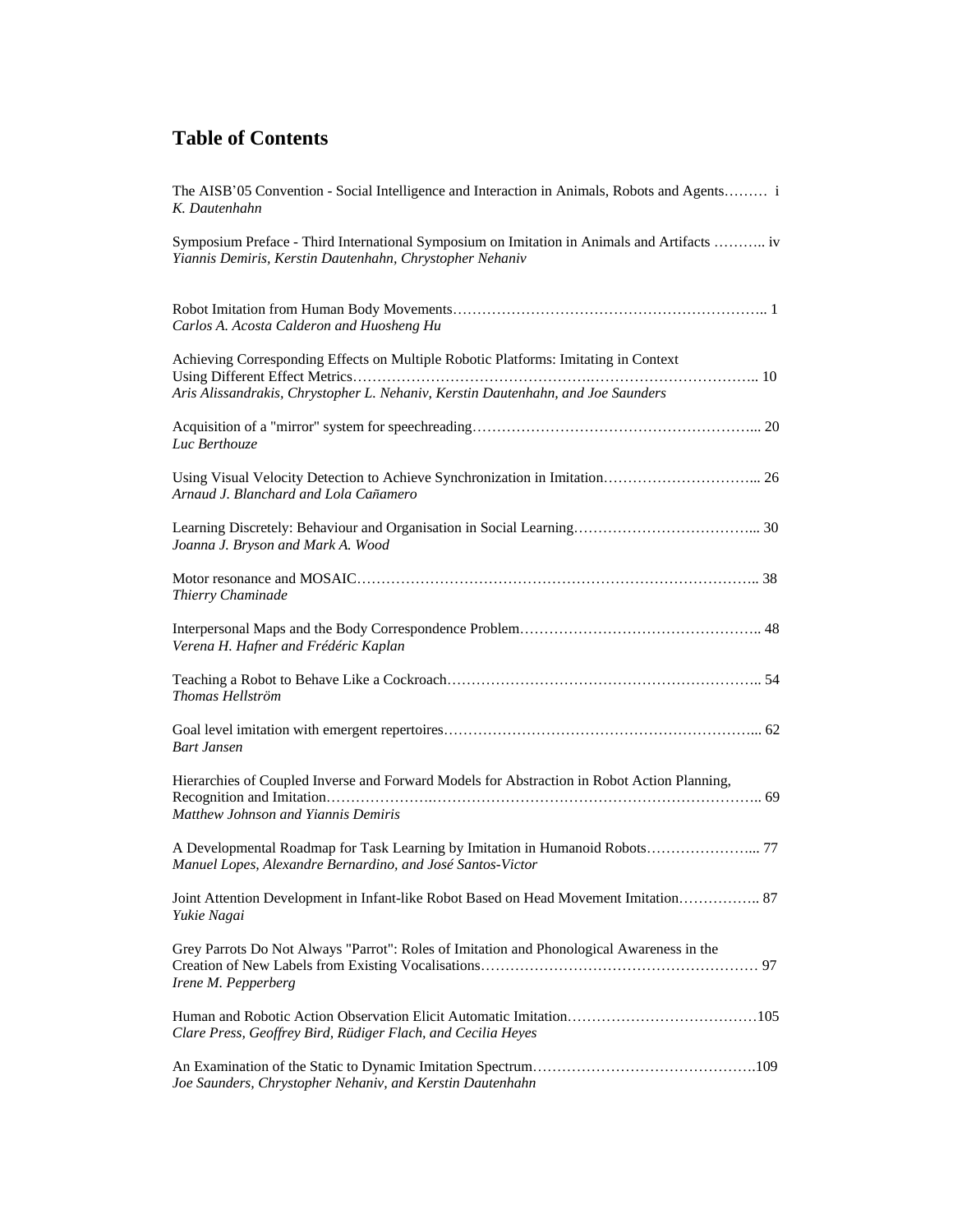| The AISB'05 Convention - Social Intelligence and Interaction in Animals, Robots and Agents i<br>K. Dautenhahn                                                           |
|-------------------------------------------------------------------------------------------------------------------------------------------------------------------------|
| Symposium Preface - Third International Symposium on Imitation in Animals and Artifacts  iv<br>Yiannis Demiris, Kerstin Dautenhahn, Chrystopher Nehaniv                 |
| Carlos A. Acosta Calderon and Huosheng Hu                                                                                                                               |
| Achieving Corresponding Effects on Multiple Robotic Platforms: Imitating in Context<br>Aris Alissandrakis, Chrystopher L. Nehaniv, Kerstin Dautenhahn, and Joe Saunders |
| Luc Berthouze                                                                                                                                                           |
| Arnaud J. Blanchard and Lola Cañamero                                                                                                                                   |
| Joanna J. Bryson and Mark A. Wood                                                                                                                                       |
| Thierry Chaminade                                                                                                                                                       |
| Verena H. Hafner and Frédéric Kaplan                                                                                                                                    |
| Thomas Hellström                                                                                                                                                        |
| <b>Bart Jansen</b>                                                                                                                                                      |
| Hierarchies of Coupled Inverse and Forward Models for Abstraction in Robot Action Planning,<br>Matthew Johnson and Yiannis Demiris                                      |
| A Developmental Roadmap for Task Learning by Imitation in Humanoid Robots 77<br>Manuel Lopes, Alexandre Bernardino, and José Santos-Victor                              |
| Joint Attention Development in Infant-like Robot Based on Head Movement Imitation 87<br>Yukie Nagai                                                                     |
| Grey Parrots Do Not Always "Parrot": Roles of Imitation and Phonological Awareness in the<br>Irene M. Pepperberg                                                        |
| Clare Press, Geoffrey Bird, Rüdiger Flach, and Cecilia Heyes                                                                                                            |
| Joe Saunders, Chrystopher Nehaniv, and Kerstin Dautenhahn                                                                                                               |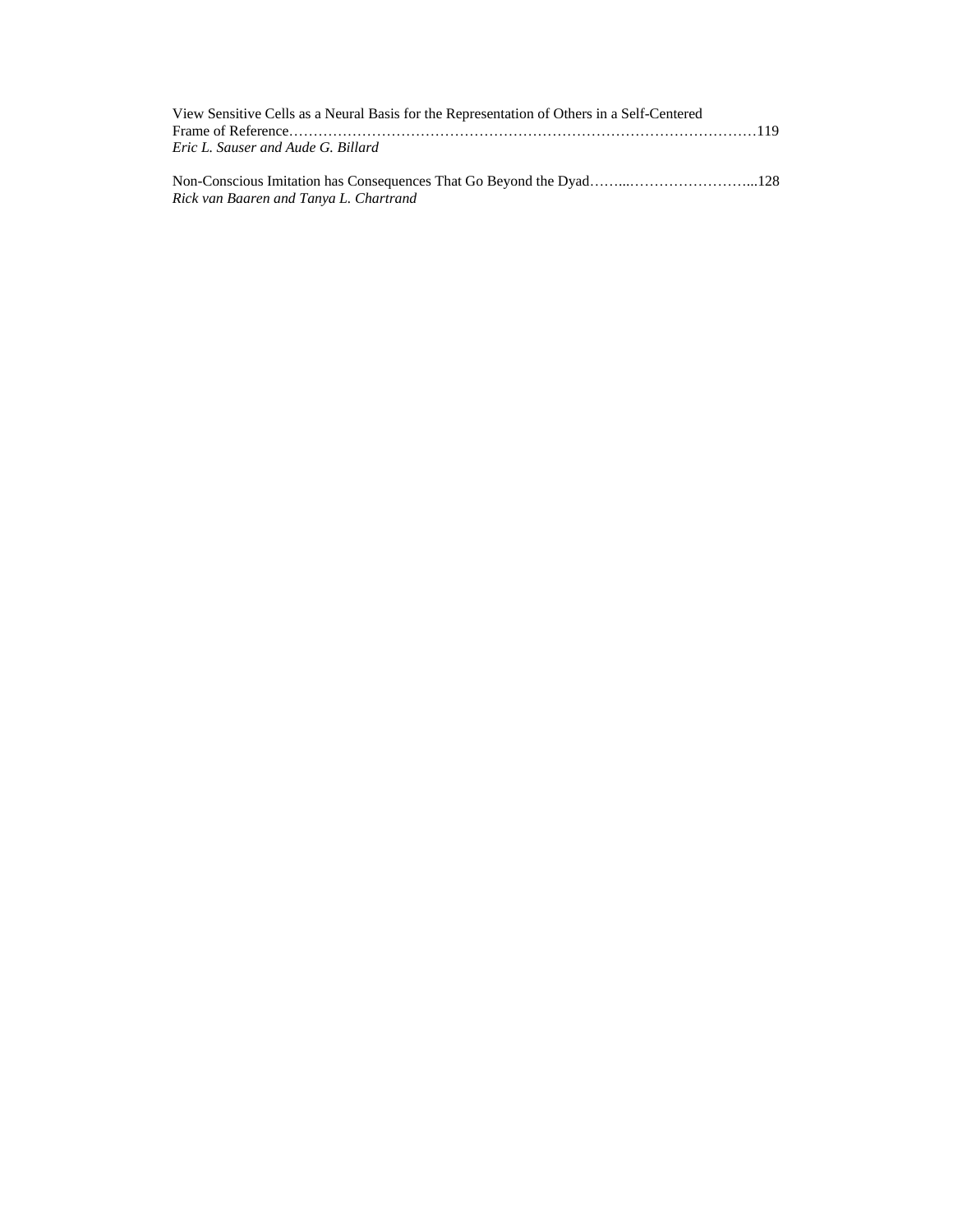| View Sensitive Cells as a Neural Basis for the Representation of Others in a Self-Centered |  |
|--------------------------------------------------------------------------------------------|--|
|                                                                                            |  |
| Eric L. Sauser and Aude G. Billard                                                         |  |
|                                                                                            |  |

Non-Conscious Imitation has Consequences That Go Beyond the Dyad……...……………………...128 *Rick van Baaren and Tanya L. Chartrand*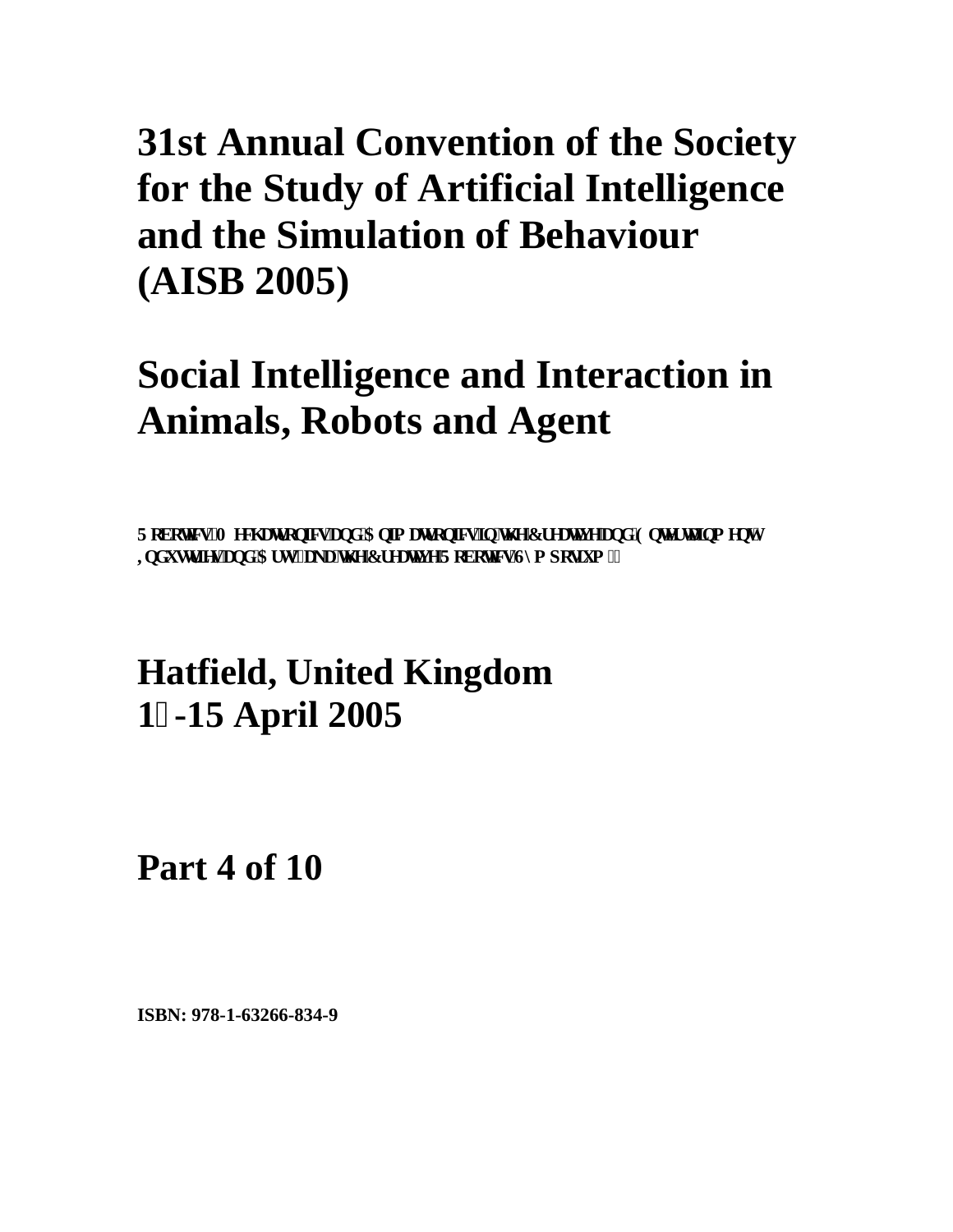## **Social Intelligence and Interaction in Animals, Robots and Agent**

Tqdqvkeu 'O gej cvt qpkeu'cpf 'Cplo cvt qpkeu'lp'vj g'Et gcvksg'cpf 'Gpvgt vckpo gpv'' **Kof wux leu'c pf 'Ct wi\*cme'vi g'Et gc vksg'T adqvleu'Ul o r qulsvo** +''

### **Hatfield, United Kingdom 1-15 April 2005**

**Part 4 of 10**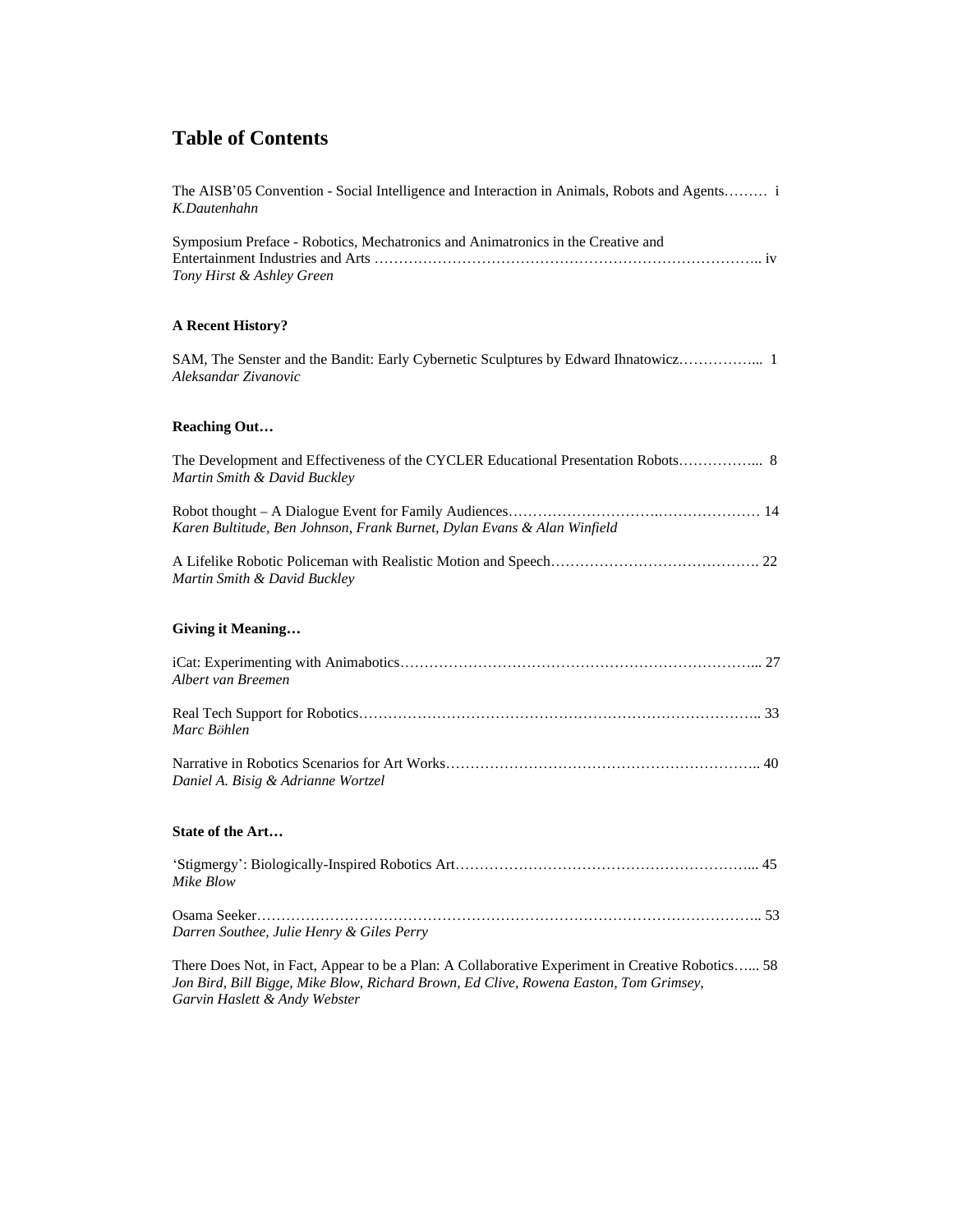| The AISB'05 Convention - Social Intelligence and Interaction in Animals, Robots and Agents i<br>K.Dautenhahn      |
|-------------------------------------------------------------------------------------------------------------------|
| Symposium Preface - Robotics, Mechatronics and Animatronics in the Creative and<br>Tony Hirst & Ashley Green      |
| <b>A Recent History?</b>                                                                                          |
| SAM, The Senster and the Bandit: Early Cybernetic Sculptures by Edward Ihnatowicz 1<br>Aleksandar Zivanovic       |
| <b>Reaching Out</b>                                                                                               |
| The Development and Effectiveness of the CYCLER Educational Presentation Robots 8<br>Martin Smith & David Buckley |
| Karen Bultitude, Ben Johnson, Frank Burnet, Dylan Evans & Alan Winfield                                           |
| Martin Smith & David Buckley                                                                                      |
| <b>Giving it Meaning</b>                                                                                          |
| Albert van Breemen                                                                                                |
| Marc Böhlen                                                                                                       |
| Daniel A. Bisig & Adrianne Wortzel                                                                                |
| <b>State of the Art</b>                                                                                           |
| Mike Blow                                                                                                         |
| Darren Southee, Julie Henry & Giles Perry                                                                         |

There Does Not, in Fact, Appear to be a Plan: A Collaborative Experiment in Creative Robotics…... 58 *Jon Bird, Bill Bigge, Mike Blow, Richard Brown, Ed Clive, Rowena Easton, Tom Grimsey, Garvin Haslett & Andy Webster*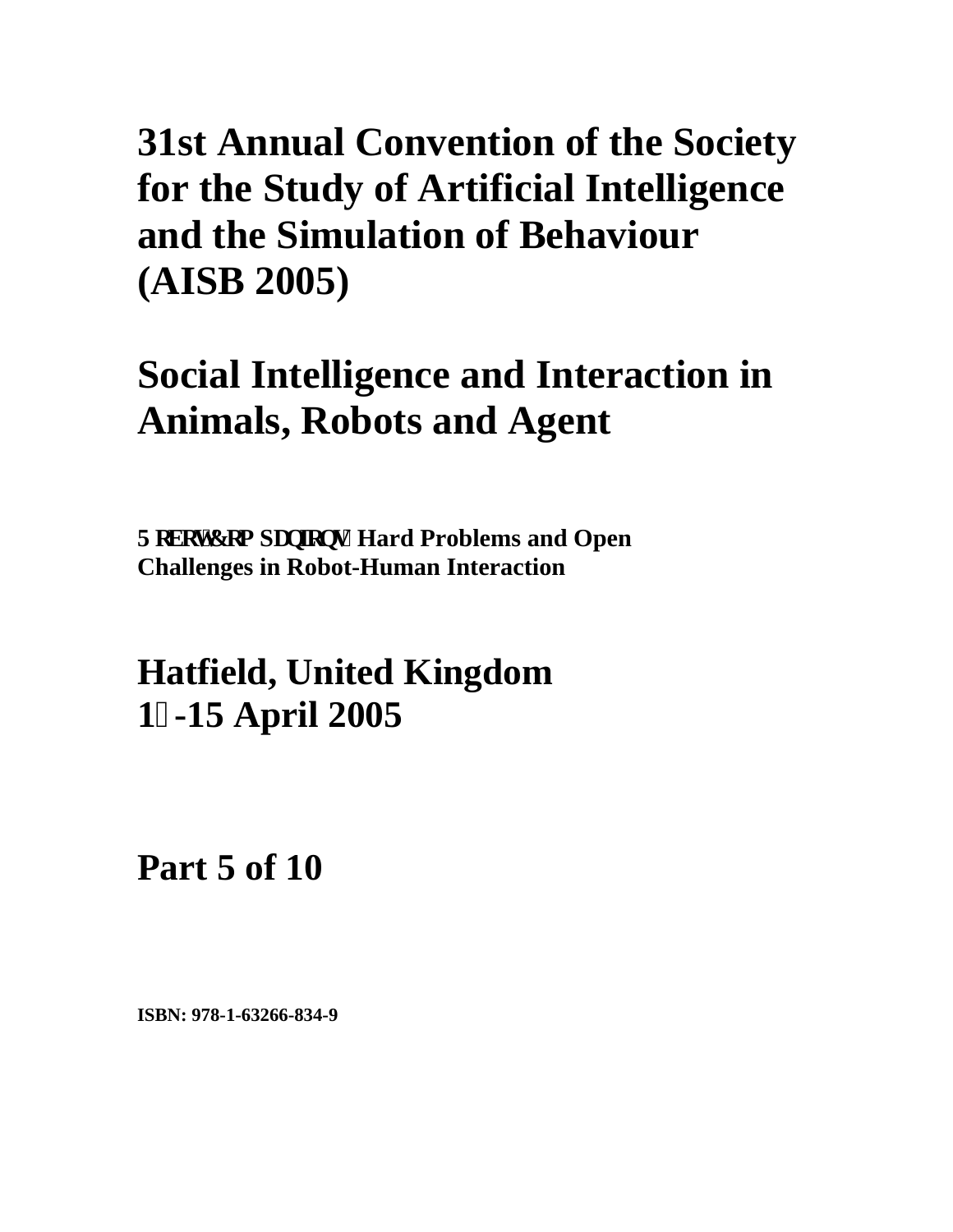## **Social Intelligence and Interaction in Animals, Robots and Agent**

Tqdqv<sup>*Eqo*</sup> rcpkqpu $\lt$ Hard Problems and Open **Challenges in Robot-Human Interaction**

**Hatfield, United Kingdom 1-15 April 2005**

**Part 5 of 10**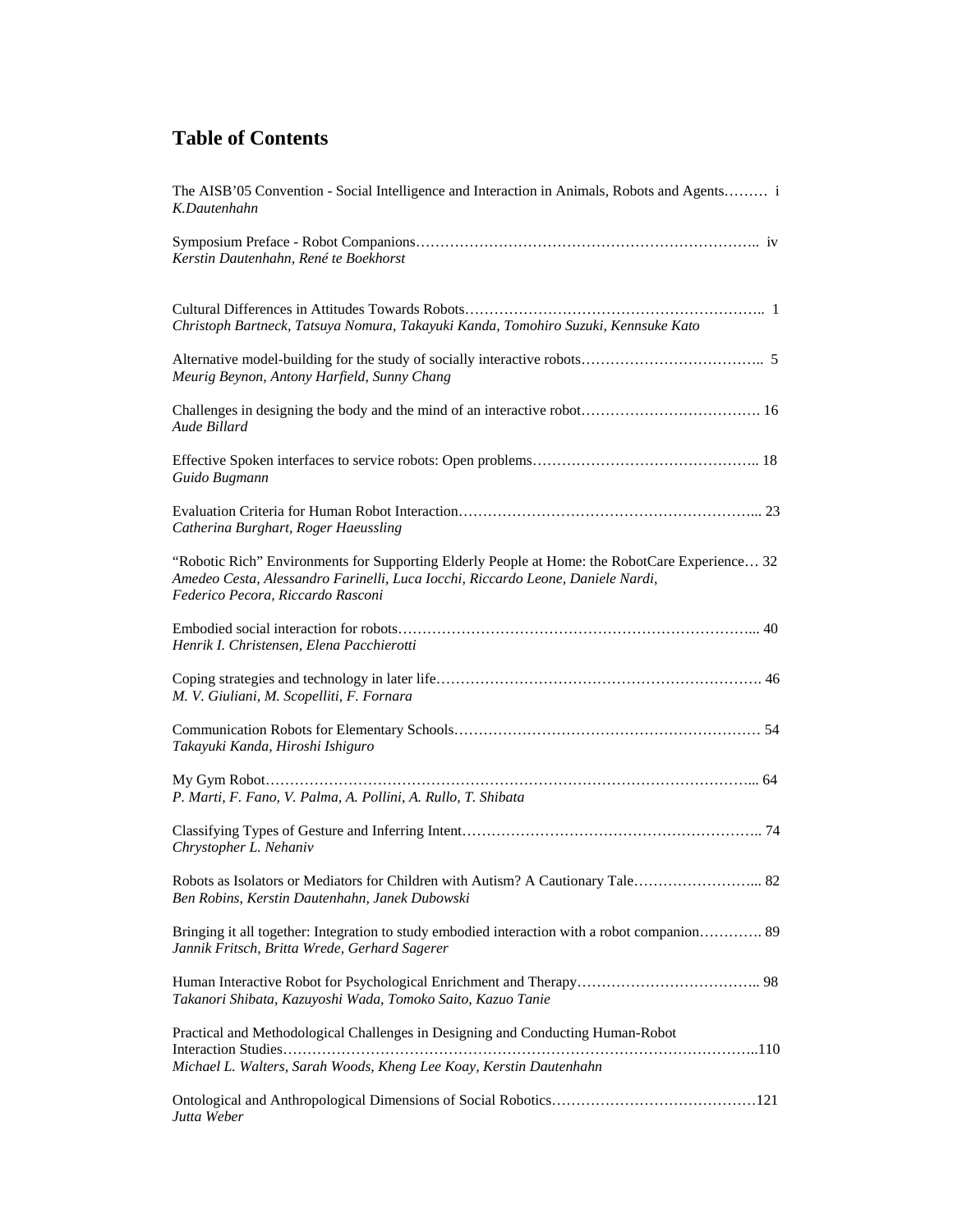| The AISB'05 Convention - Social Intelligence and Interaction in Animals, Robots and Agents i<br>K.Dautenhahn                                                                                                           |
|------------------------------------------------------------------------------------------------------------------------------------------------------------------------------------------------------------------------|
| Kerstin Dautenhahn, René te Boekhorst                                                                                                                                                                                  |
| Christoph Bartneck, Tatsuya Nomura, Takayuki Kanda, Tomohiro Suzuki, Kennsuke Kato                                                                                                                                     |
| Meurig Beynon, Antony Harfield, Sunny Chang                                                                                                                                                                            |
| Aude Billard                                                                                                                                                                                                           |
| Guido Bugmann                                                                                                                                                                                                          |
| Catherina Burghart, Roger Haeussling                                                                                                                                                                                   |
| "Robotic Rich" Environments for Supporting Elderly People at Home: the RobotCare Experience 32<br>Amedeo Cesta, Alessandro Farinelli, Luca Iocchi, Riccardo Leone, Daniele Nardi,<br>Federico Pecora, Riccardo Rasconi |
| Henrik I. Christensen, Elena Pacchierotti                                                                                                                                                                              |
| M. V. Giuliani, M. Scopelliti, F. Fornara                                                                                                                                                                              |
| Takayuki Kanda, Hiroshi Ishiguro                                                                                                                                                                                       |
| P. Marti, F. Fano, V. Palma, A. Pollini, A. Rullo, T. Shibata                                                                                                                                                          |
| Chrystopher L. Nehaniv                                                                                                                                                                                                 |
| Robots as Isolators or Mediators for Children with Autism? A Cautionary Tale 82<br>Ben Robins, Kerstin Dautenhahn, Janek Dubowski                                                                                      |
| Bringing it all together: Integration to study embodied interaction with a robot companion 89<br>Jannik Fritsch, Britta Wrede, Gerhard Sagerer                                                                         |
| Takanori Shibata, Kazuyoshi Wada, Tomoko Saito, Kazuo Tanie                                                                                                                                                            |
| Practical and Methodological Challenges in Designing and Conducting Human-Robot<br>Michael L. Walters, Sarah Woods, Kheng Lee Koay, Kerstin Dautenhahn                                                                 |
| Jutta Weber                                                                                                                                                                                                            |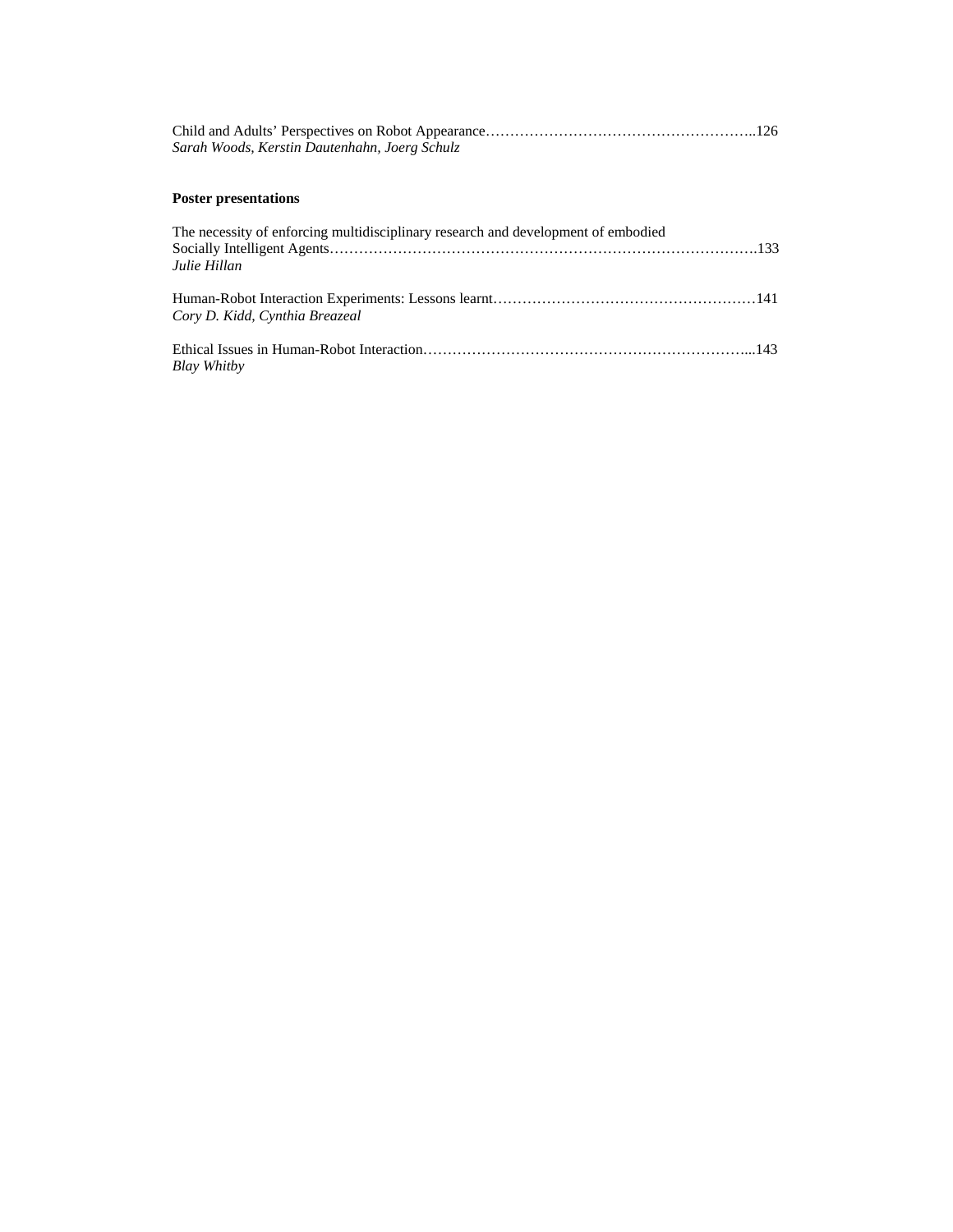| Sarah Woods, Kerstin Dautenhahn, Joerg Schulz                                                     |  |
|---------------------------------------------------------------------------------------------------|--|
| <b>Poster presentations</b>                                                                       |  |
| The necessity of enforcing multidisciplinary research and development of embodied<br>Julie Hillan |  |
| Cory D. Kidd, Cynthia Breazeal                                                                    |  |
| Blay Whitby                                                                                       |  |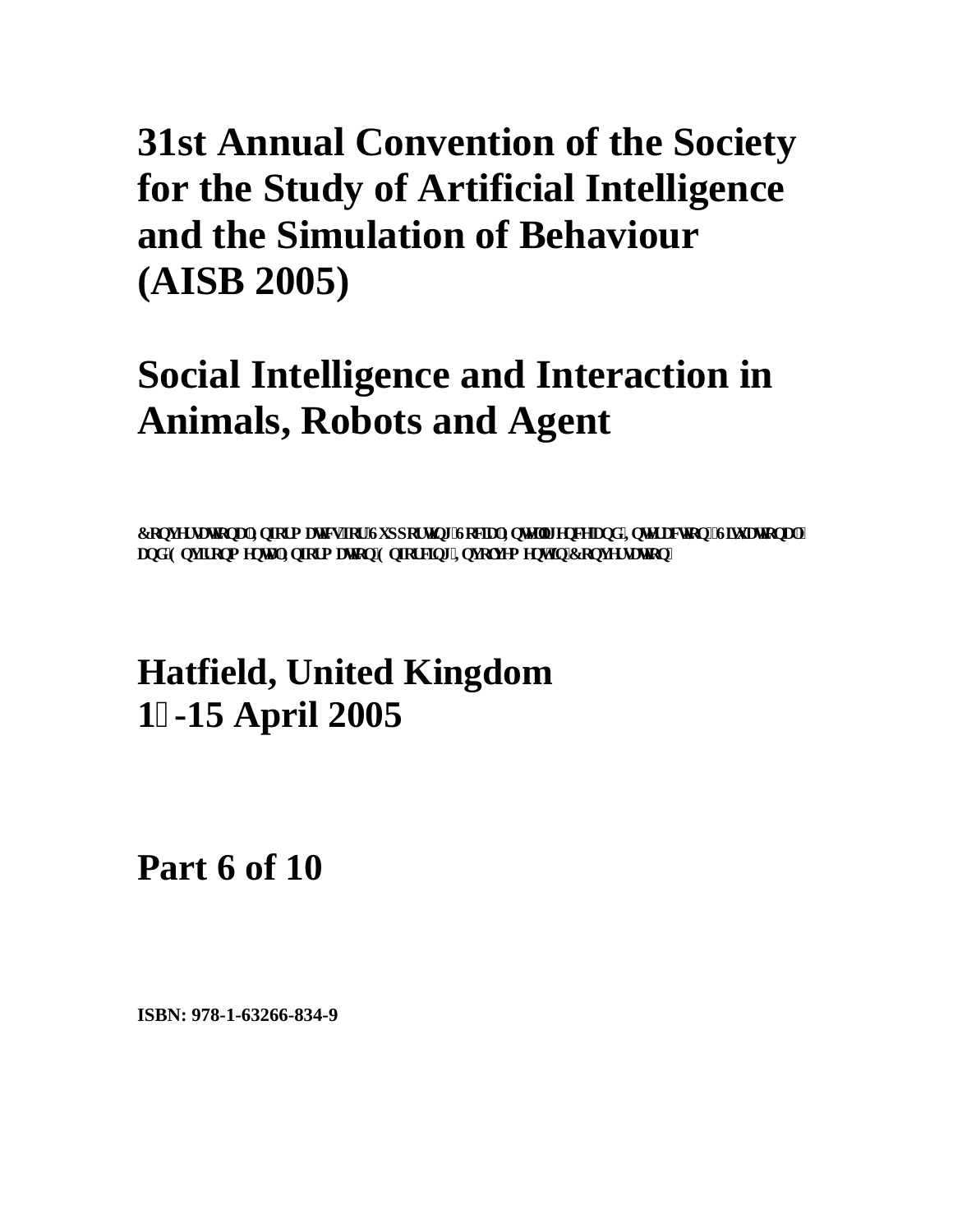## **Social Intelligence and Interaction in Animals, Robots and Agent**

 ${\bf E}$ qpxgt ux vkqpcrlKphyt o cykeu'hyt 'Uwr r gt ykpi 'Ugek:rlKpygnki gpeg'cpf' 'Kpygt ceykgp<'Uswcykgpcrl'' cpf 'Gpxk qpo gpwrlKphqto cvkqp'Gphqtekpi 'Kpxqnxgo gpv'kp'Eqpxgtucvkqp''

### **Hatfield, United Kingdom 1-15 April 2005**

**Part 6 of 10**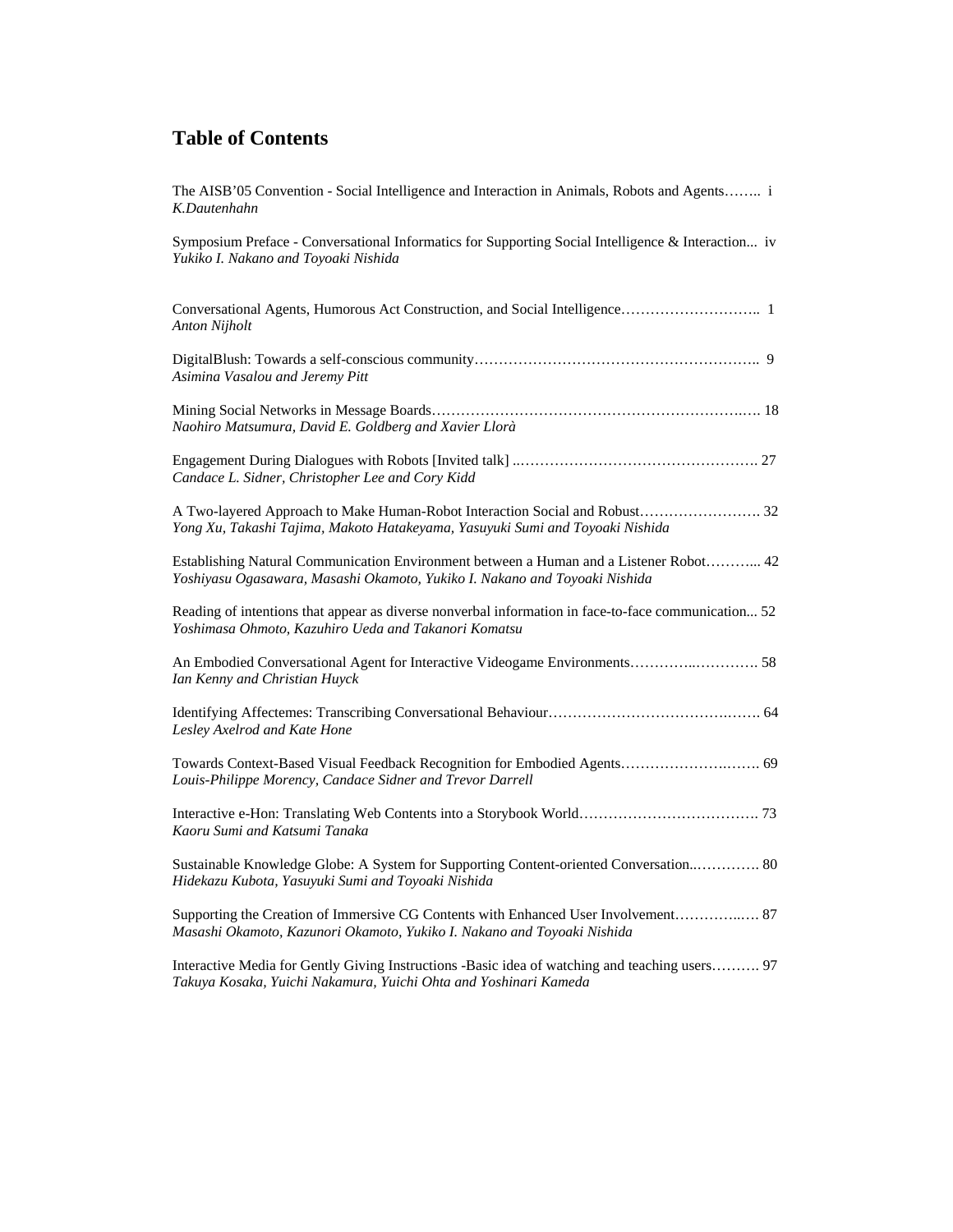The AISB'05 Convention - Social Intelligence and Interaction in Animals, Robots and Agents…….. i *K.Dautenhahn*  Symposium Preface - Conversational Informatics for Supporting Social Intelligence & Interaction... iv *Yukiko I. Nakano and Toyoaki Nishida*  Conversational Agents, Humorous Act Construction, and Social Intelligence……………………….. 1 *Anton Nijholt*  DigitalBlush: Towards a self-conscious community………………………………………………….. 9 *Asimina Vasalou and Jeremy Pitt*  Mining Social Networks in Message Boards……………………………………………………….…. 18 *Naohiro Matsumura, David E. Goldberg and Xavier Llorà*  Engagement During Dialogues with Robots [Invited talk] ..…………………………………………. 27 *Candace L. Sidner, Christopher Lee and Cory Kidd*  A Two-layered Approach to Make Human-Robot Interaction Social and Robust……………………. 32 *Yong Xu, Takashi Tajima, Makoto Hatakeyama, Yasuyuki Sumi and Toyoaki Nishida*  Establishing Natural Communication Environment between a Human and a Listener Robot………... 42 *Yoshiyasu Ogasawara, Masashi Okamoto, Yukiko I. Nakano and Toyoaki Nishida*  Reading of intentions that appear as diverse nonverbal information in face-to-face communication... 52 *Yoshimasa Ohmoto, Kazuhiro Ueda and Takanori Komatsu*  An Embodied Conversational Agent for Interactive Videogame Environments…………..…………. 58 *Ian Kenny and Christian Huyck*  Identifying Affectemes: Transcribing Conversational Behaviour……………………………….……. 64 *Lesley Axelrod and Kate Hone*  Towards Context-Based Visual Feedback Recognition for Embodied Agents………………….……. 69 *Louis-Philippe Morency, Candace Sidner and Trevor Darrell*  Interactive e-Hon: Translating Web Contents into a Storybook World………………………………. 73 *Kaoru Sumi and Katsumi Tanaka*  Sustainable Knowledge Globe: A System for Supporting Content-oriented Conversation..…………. 80 *Hidekazu Kubota, Yasuyuki Sumi and Toyoaki Nishida*  Supporting the Creation of Immersive CG Contents with Enhanced User Involvement…………..…. 87 *Masashi Okamoto, Kazunori Okamoto, Yukiko I. Nakano and Toyoaki Nishida*  Interactive Media for Gently Giving Instructions -Basic idea of watching and teaching users………. 97 *Takuya Kosaka, Yuichi Nakamura, Yuichi Ohta and Yoshinari Kameda*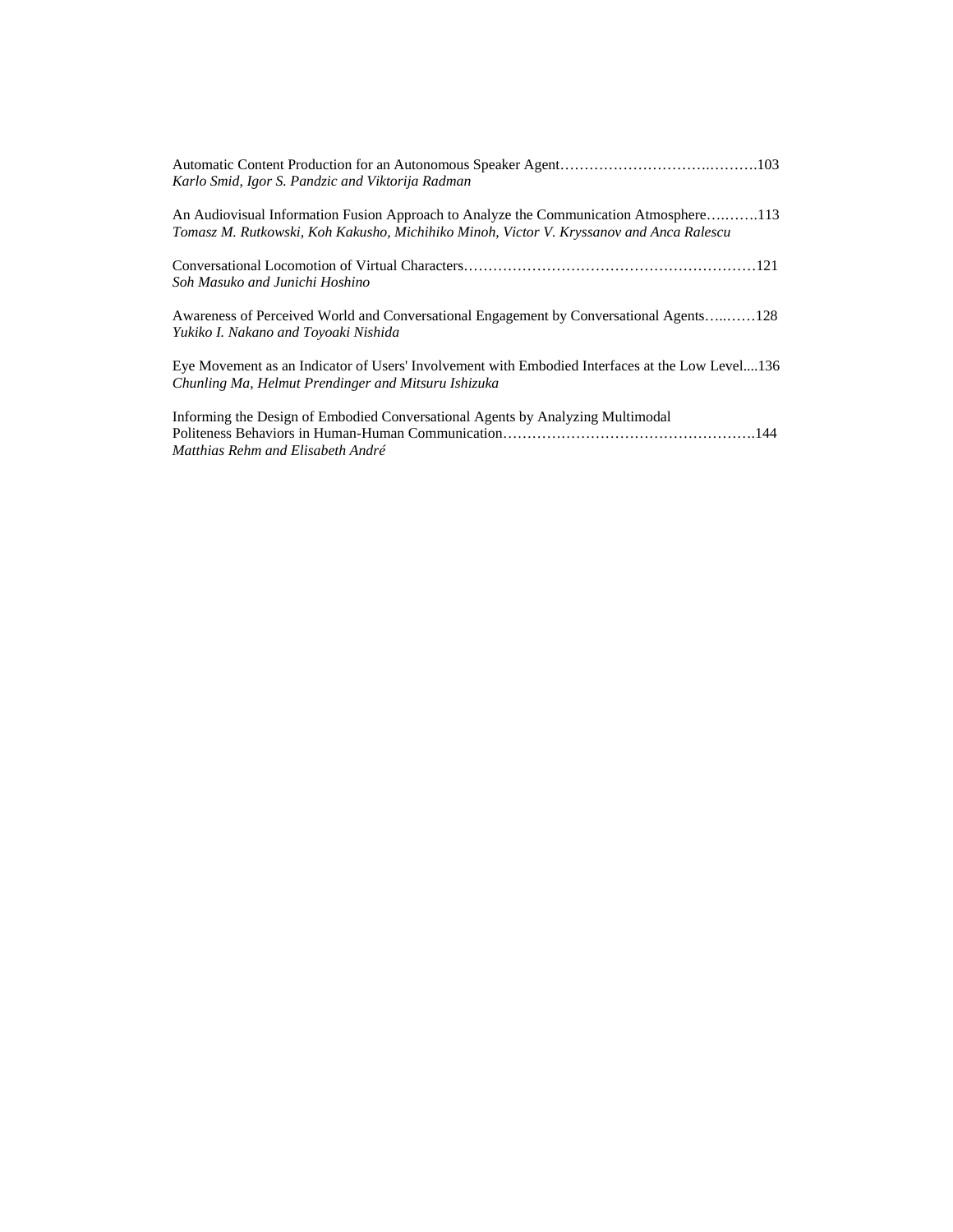| Karlo Smid, Igor S. Pandzic and Viktorija Radman                                                                                                                                 |
|----------------------------------------------------------------------------------------------------------------------------------------------------------------------------------|
| An Audiovisual Information Fusion Approach to Analyze the Communication Atmosphere113<br>Tomasz M. Rutkowski, Koh Kakusho, Michihiko Minoh, Victor V. Kryssanov and Anca Ralescu |
| Soh Masuko and Junichi Hoshino                                                                                                                                                   |
| Awareness of Perceived World and Conversational Engagement by Conversational Agents128<br>Yukiko I. Nakano and Toyoaki Nishida                                                   |
| Eye Movement as an Indicator of Users' Involvement with Embodied Interfaces at the Low Level136<br>Chunling Ma, Helmut Prendinger and Mitsuru Ishizuka                           |
| Informing the Design of Embodied Conversational Agents by Analyzing Multimodal<br>Matthias Rehm and Elisabeth André                                                              |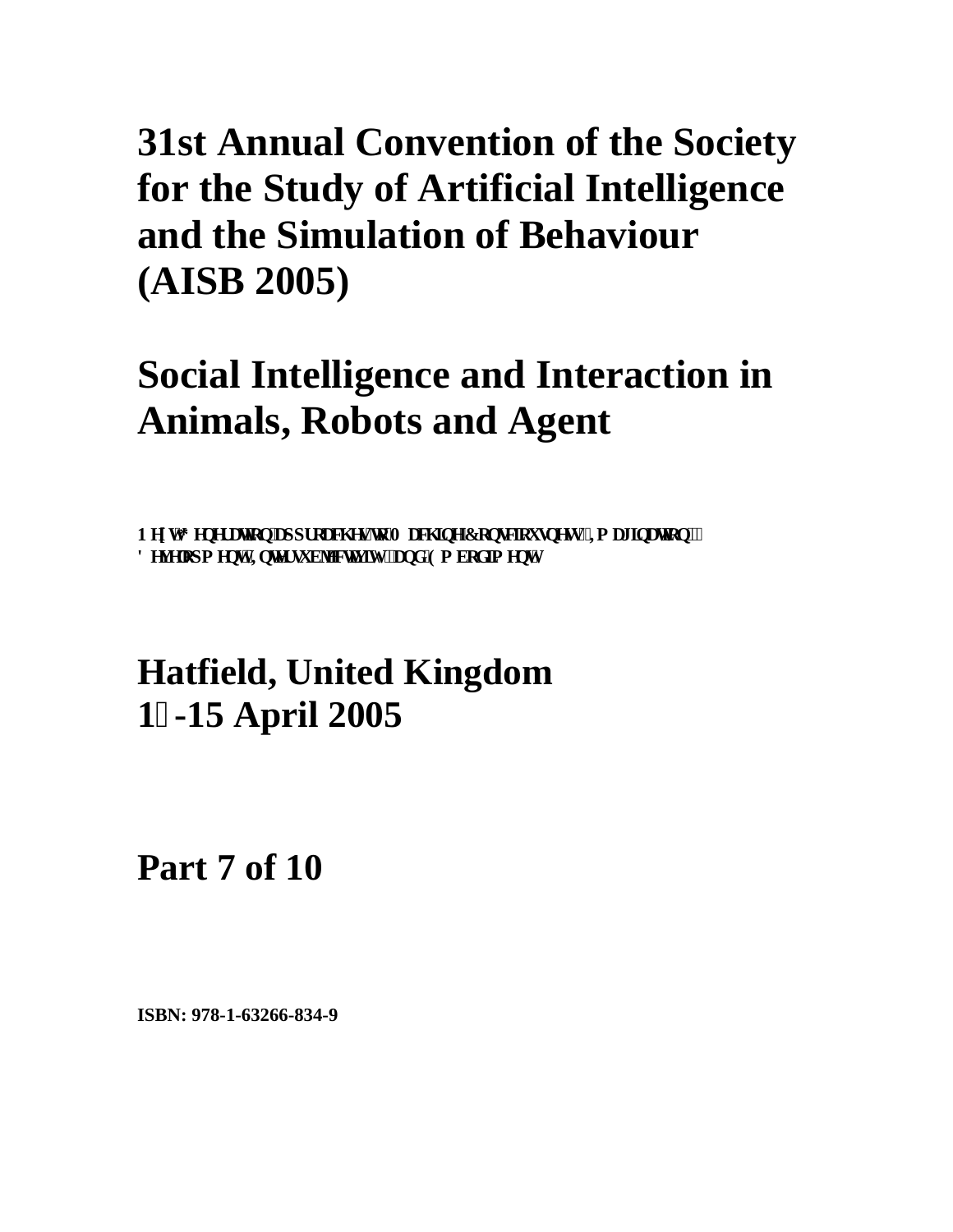## **Social Intelligence and Interaction in Animals, Robots and Agent**

PgzvI gpgt cvkqp'crrt qcej gu'vq'O cej kpg'Eqpuekqwupguuk Ko ci kpcvkqp.''' **F** gxgmr o gpv.'Ipvgt uwdlgevksk [.'cpf 'Go dqf lo gpv'

### **Hatfield, United Kingdom 1-15 April 2005**

**Part 7 of 10**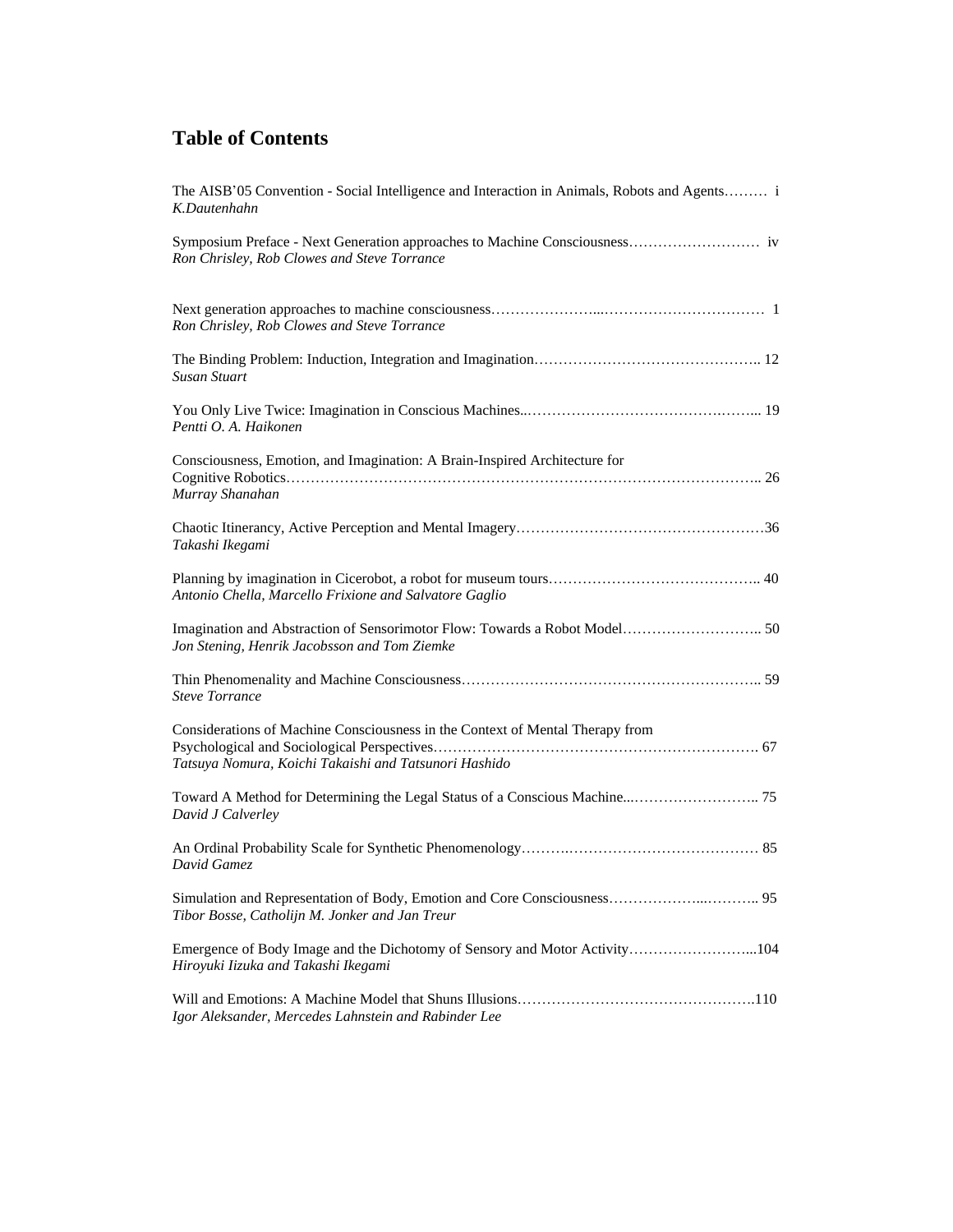| The AISB'05 Convention - Social Intelligence and Interaction in Animals, Robots and Agents i<br>K.Dautenhahn                           |
|----------------------------------------------------------------------------------------------------------------------------------------|
| Ron Chrisley, Rob Clowes and Steve Torrance                                                                                            |
| Ron Chrisley, Rob Clowes and Steve Torrance                                                                                            |
| Susan Stuart                                                                                                                           |
| Pentti O. A. Haikonen                                                                                                                  |
| Consciousness, Emotion, and Imagination: A Brain-Inspired Architecture for<br>Murray Shanahan                                          |
| Takashi Ikegami                                                                                                                        |
| Antonio Chella, Marcello Frixione and Salvatore Gaglio                                                                                 |
| Jon Stening, Henrik Jacobsson and Tom Ziemke                                                                                           |
| <b>Steve Torrance</b>                                                                                                                  |
| Considerations of Machine Consciousness in the Context of Mental Therapy from<br>Tatsuya Nomura, Koichi Takaishi and Tatsunori Hashido |
| David J Calverley                                                                                                                      |
| David Gamez                                                                                                                            |
| Tibor Bosse, Catholijn M. Jonker and Jan Treur                                                                                         |
| Emergence of Body Image and the Dichotomy of Sensory and Motor Activity104<br>Hiroyuki Iizuka and Takashi Ikegami                      |
| Igor Aleksander, Mercedes Lahnstein and Rabinder Lee                                                                                   |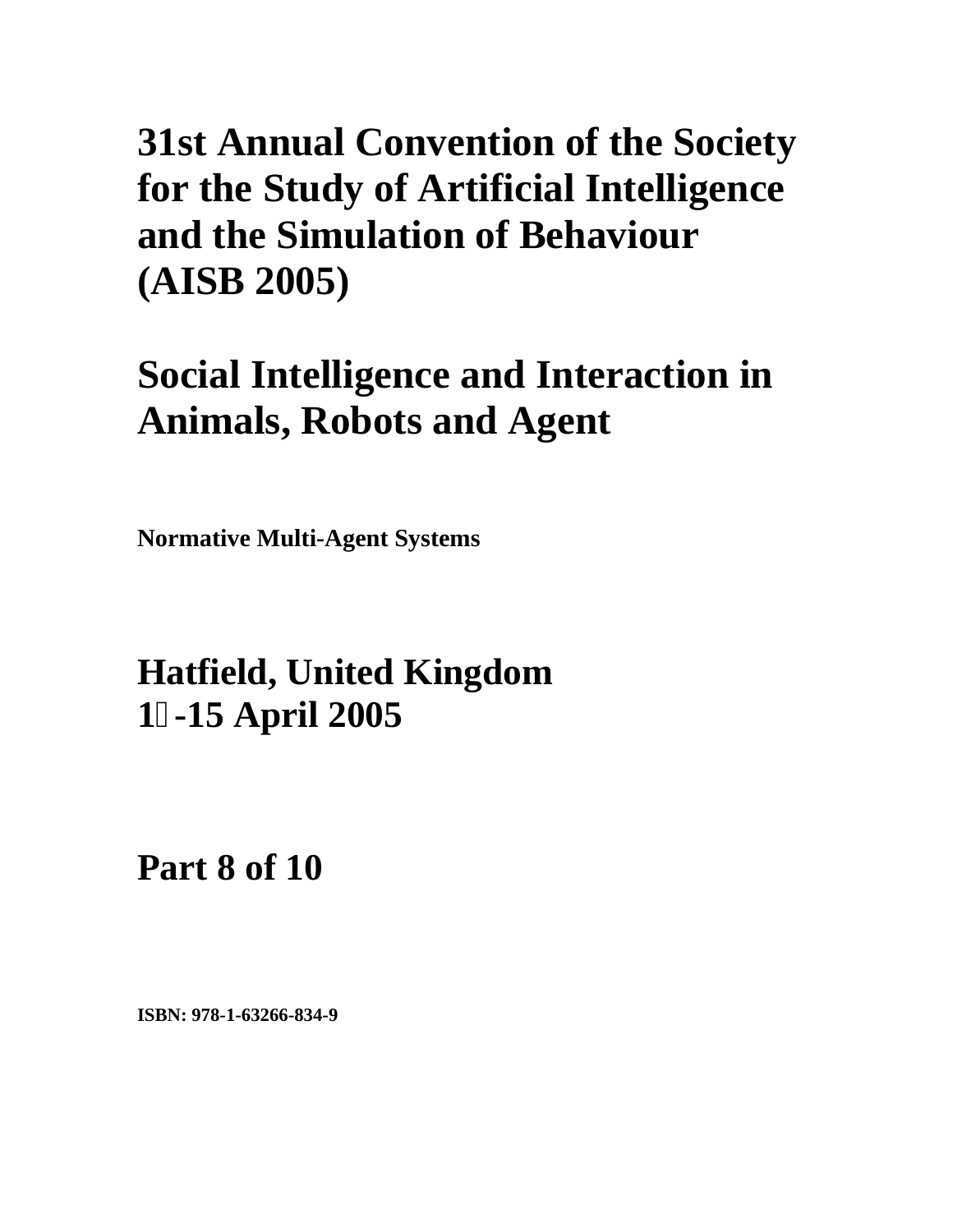## **Social Intelligence and Interaction in Animals, Robots and Agent**

**Normative Multi-Agent Systems** 

### **Hatfield, United Kingdom 1-15 April 2005**

**Part 8 of 10**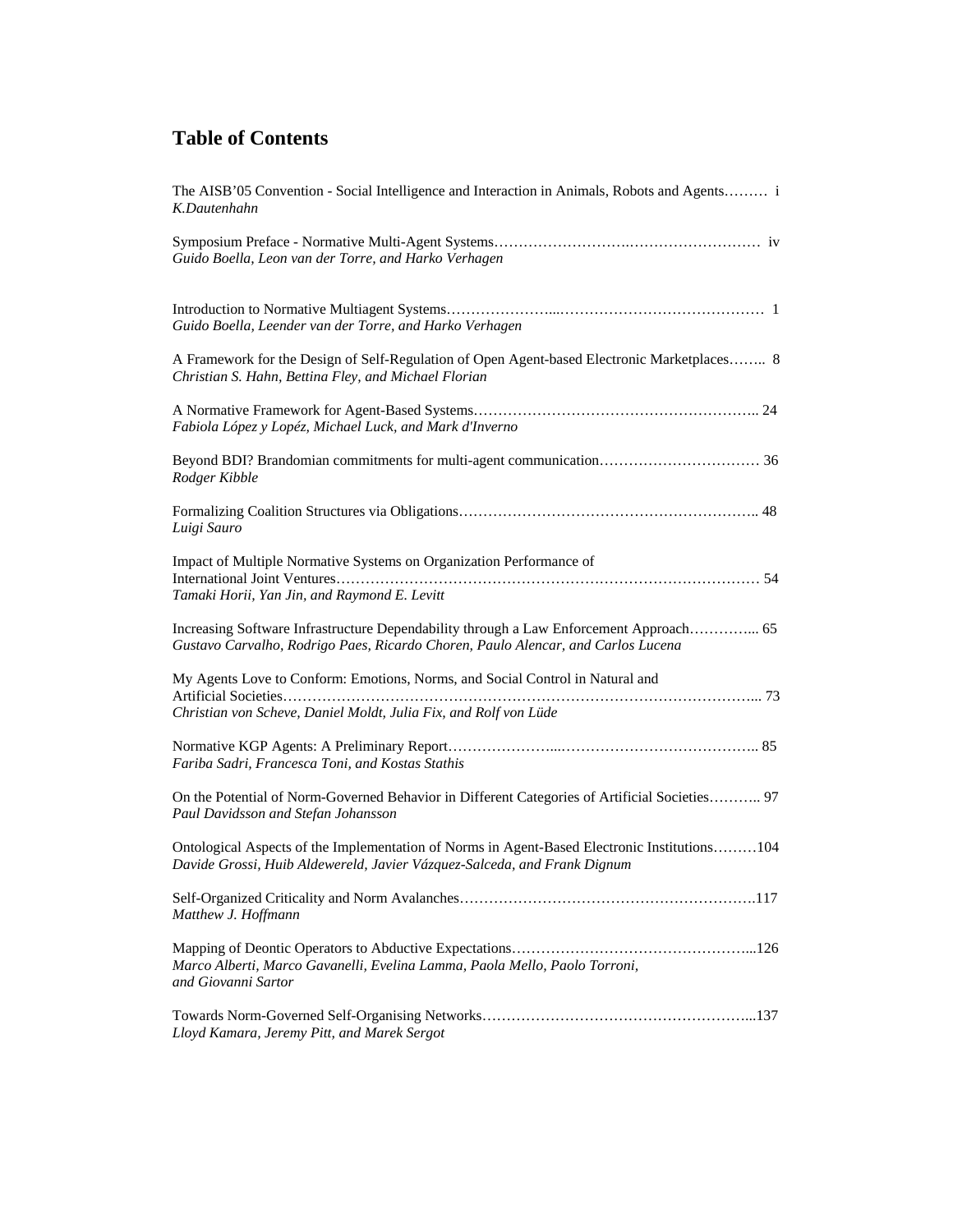| The AISB'05 Convention - Social Intelligence and Interaction in Animals, Robots and Agents i<br>K.Dautenhahn                                                               |
|----------------------------------------------------------------------------------------------------------------------------------------------------------------------------|
| Guido Boella, Leon van der Torre, and Harko Verhagen                                                                                                                       |
| Guido Boella, Leender van der Torre, and Harko Verhagen                                                                                                                    |
| A Framework for the Design of Self-Regulation of Open Agent-based Electronic Marketplaces 8<br>Christian S. Hahn, Bettina Fley, and Michael Florian                        |
| Fabiola López y Lopéz, Michael Luck, and Mark d'Inverno                                                                                                                    |
| Rodger Kibble                                                                                                                                                              |
| Luigi Sauro                                                                                                                                                                |
| Impact of Multiple Normative Systems on Organization Performance of<br>Tamaki Horii, Yan Jin, and Raymond E. Levitt                                                        |
| Increasing Software Infrastructure Dependability through a Law Enforcement Approach 65<br>Gustavo Carvalho, Rodrigo Paes, Ricardo Choren, Paulo Alencar, and Carlos Lucena |
| My Agents Love to Conform: Emotions, Norms, and Social Control in Natural and<br>Christian von Scheve, Daniel Moldt, Julia Fix, and Rolf von Lüde                          |
| Fariba Sadri, Francesca Toni, and Kostas Stathis                                                                                                                           |
| On the Potential of Norm-Governed Behavior in Different Categories of Artificial Societies 97<br>Paul Davidsson and Stefan Johansson                                       |
| Ontological Aspects of the Implementation of Norms in Agent-Based Electronic Institutions104<br>Davide Grossi, Huib Aldewereld, Javier Vázquez-Salceda, and Frank Dignum   |
| Matthew J. Hoffmann                                                                                                                                                        |
| Marco Alberti, Marco Gavanelli, Evelina Lamma, Paola Mello, Paolo Torroni,<br>and Giovanni Sartor                                                                          |
| Lloyd Kamara, Jeremy Pitt, and Marek Sergot                                                                                                                                |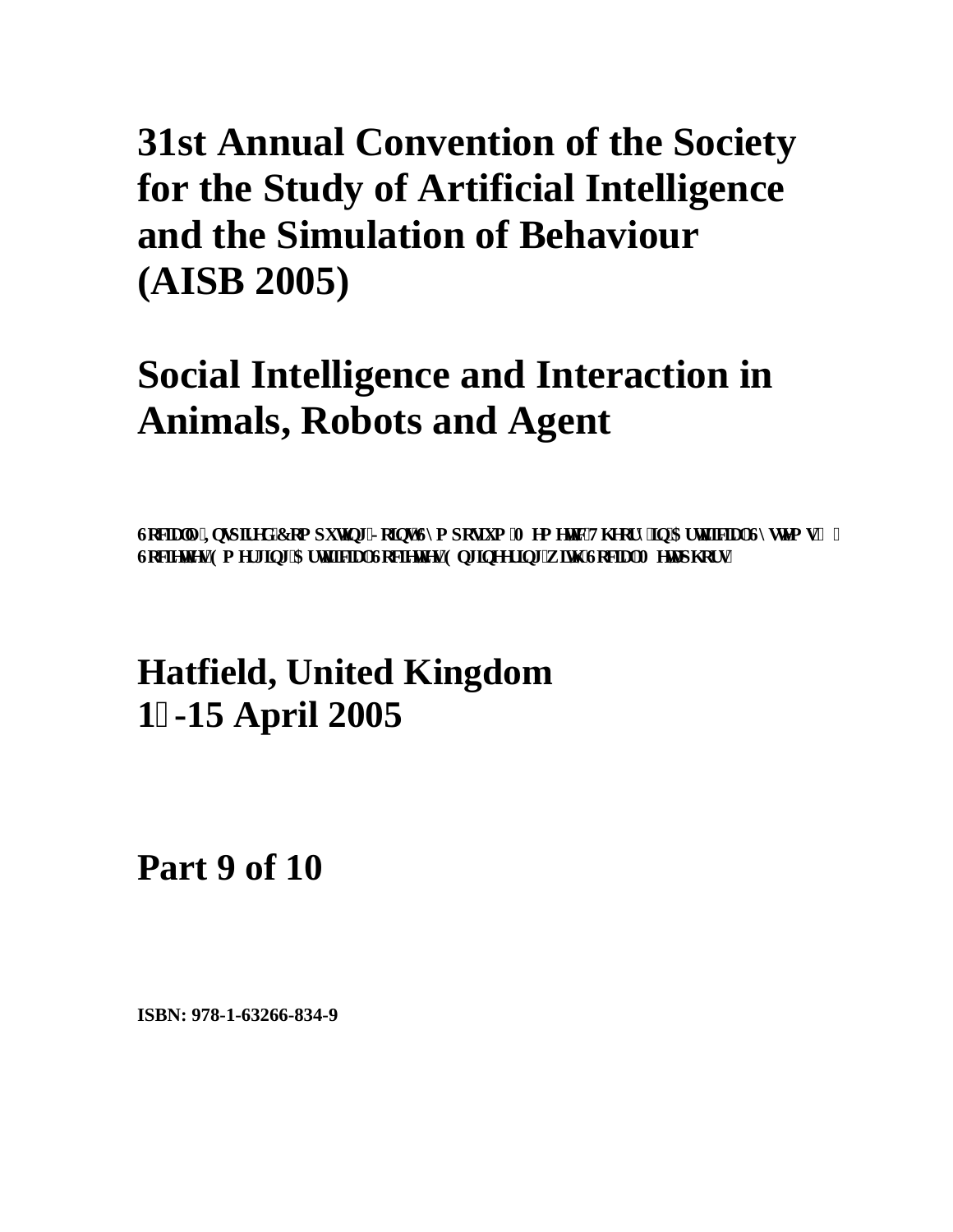## **Social Intelligence and Interaction in Animals, Robots and Agent**

**Collard Text Texture In Eqs. r** Texture Indian Upper Upper Collars Collection Texture In Texture In Texture In U Ugelgylgu'Go gti lpi 'CtyltlelcriUgelgylgu'Gpi lpggt lpi 'y lsj 'UgelcriO gwr j qtu''

### **Hatfield, United Kingdom 1-15 April 2005**

**Part 9 of 10**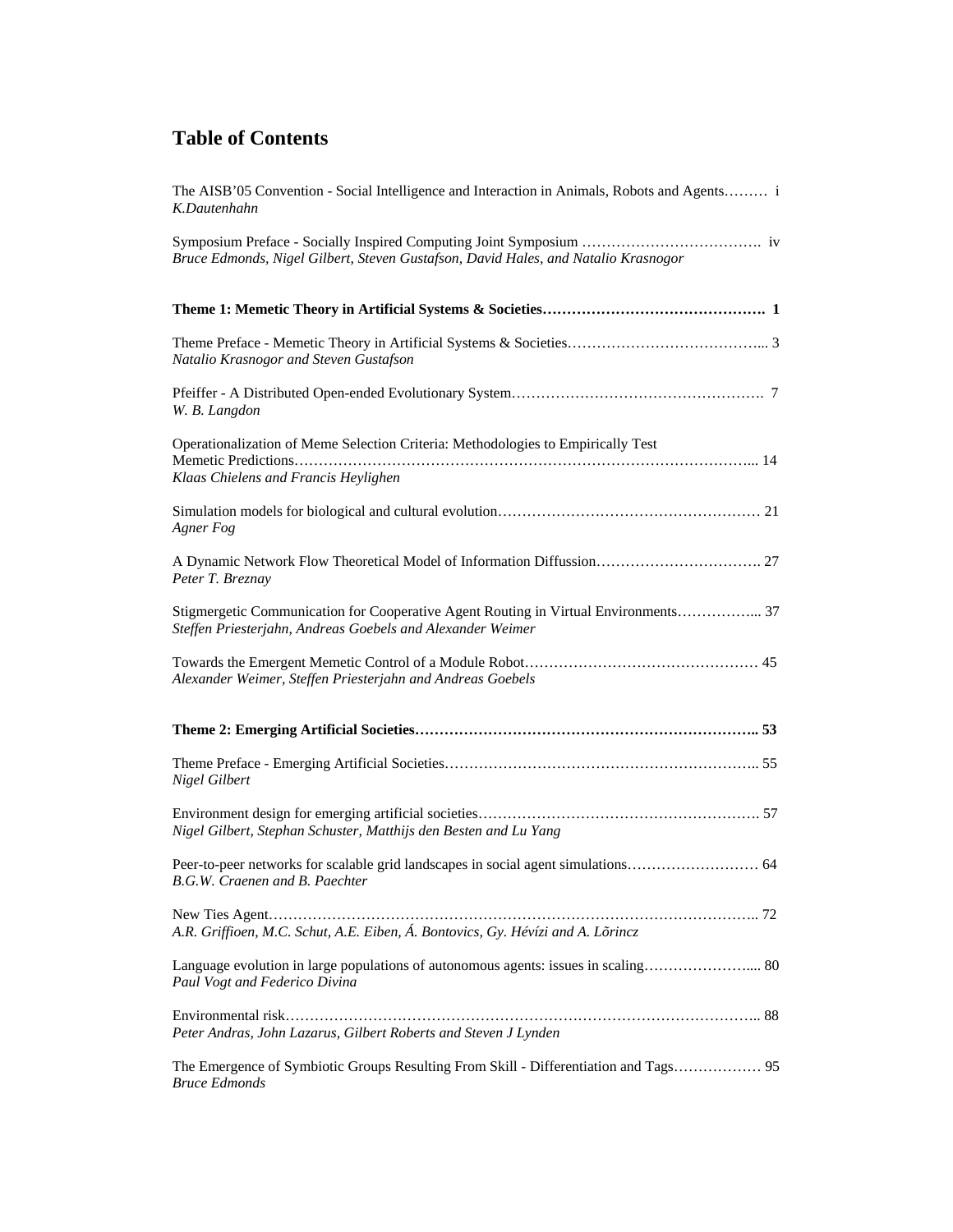| The AISB'05 Convention - Social Intelligence and Interaction in Animals, Robots and Agents i<br>K.Dautenhahn                                      |
|---------------------------------------------------------------------------------------------------------------------------------------------------|
| Bruce Edmonds, Nigel Gilbert, Steven Gustafson, David Hales, and Natalio Krasnogor                                                                |
|                                                                                                                                                   |
| Natalio Krasnogor and Steven Gustafson                                                                                                            |
| W. B. Langdon                                                                                                                                     |
| Operationalization of Meme Selection Criteria: Methodologies to Empirically Test<br>Klaas Chielens and Francis Heylighen                          |
| Agner Fog                                                                                                                                         |
| A Dynamic Network Flow Theoretical Model of Information Diffussion 27<br>Peter T. Breznay                                                         |
| Stigmergetic Communication for Cooperative Agent Routing in Virtual Environments 37<br>Steffen Priesterjahn, Andreas Goebels and Alexander Weimer |
| Alexander Weimer, Steffen Priesterjahn and Andreas Goebels                                                                                        |
|                                                                                                                                                   |
| Nigel Gilbert                                                                                                                                     |
| Nigel Gilbert, Stephan Schuster, Matthijs den Besten and Lu Yang                                                                                  |
| B.G.W. Craenen and B. Paechter                                                                                                                    |
| A.R. Griffioen, M.C. Schut, A.E. Eiben, Á. Bontovics, Gy. Hévízi and A. Lõrincz                                                                   |
| Language evolution in large populations of autonomous agents: issues in scaling 80<br>Paul Vogt and Federico Divina                               |
| Peter Andras, John Lazarus, Gilbert Roberts and Steven J Lynden                                                                                   |
| The Emergence of Symbiotic Groups Resulting From Skill - Differentiation and Tags 95<br><b>Bruce Edmonds</b>                                      |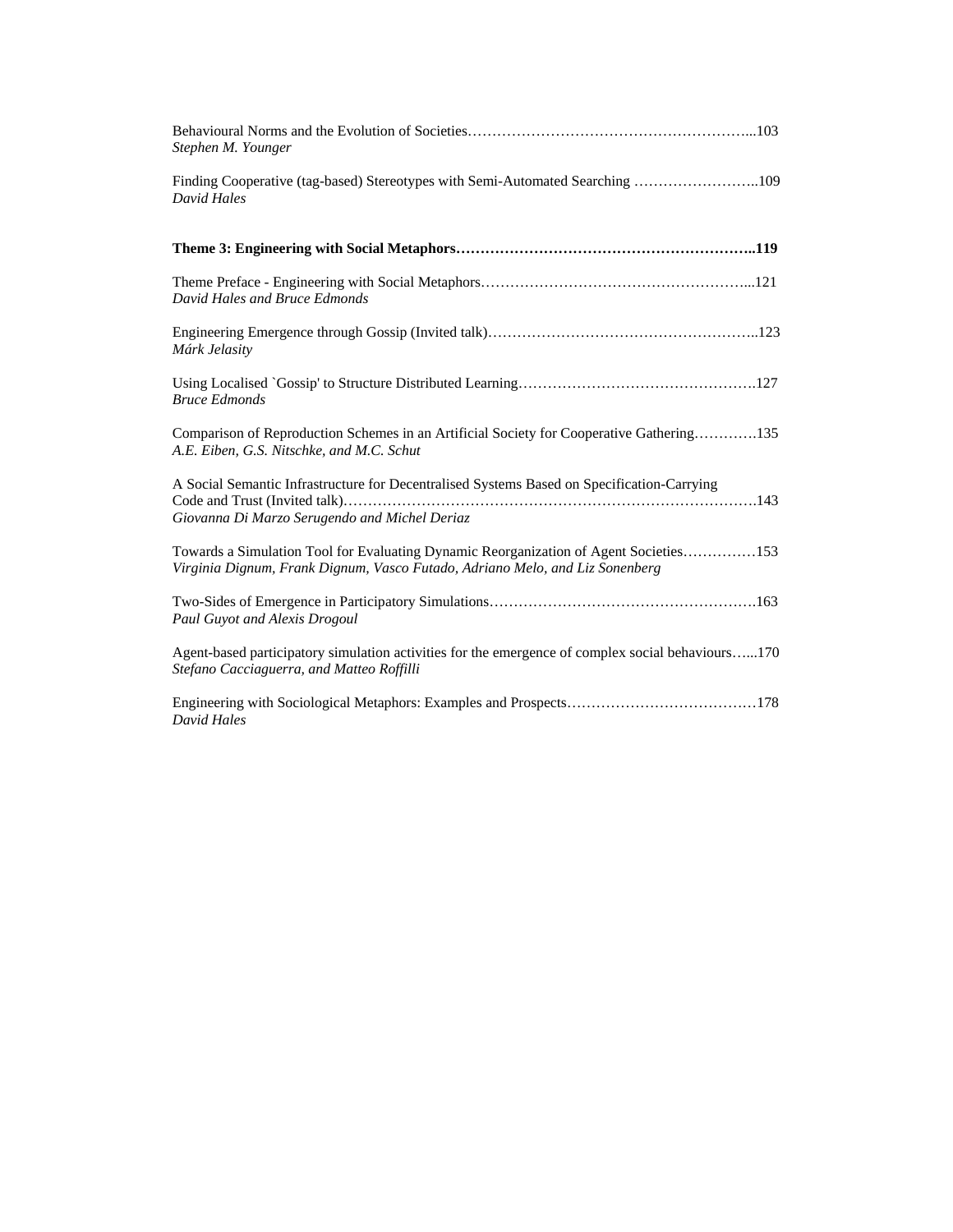| Stephen M. Younger                                                                                                                                                    |
|-----------------------------------------------------------------------------------------------------------------------------------------------------------------------|
| Finding Cooperative (tag-based) Stereotypes with Semi-Automated Searching 109<br>David Hales                                                                          |
|                                                                                                                                                                       |
| David Hales and Bruce Edmonds                                                                                                                                         |
| Márk Jelasity                                                                                                                                                         |
| <b>Bruce Edmonds</b>                                                                                                                                                  |
| Comparison of Reproduction Schemes in an Artificial Society for Cooperative Gathering135<br>A.E. Eiben, G.S. Nitschke, and M.C. Schut                                 |
| A Social Semantic Infrastructure for Decentralised Systems Based on Specification-Carrying<br>Giovanna Di Marzo Serugendo and Michel Deriaz                           |
| Towards a Simulation Tool for Evaluating Dynamic Reorganization of Agent Societies153<br>Virginia Dignum, Frank Dignum, Vasco Futado, Adriano Melo, and Liz Sonenberg |
| Paul Guyot and Alexis Drogoul                                                                                                                                         |
| Agent-based participatory simulation activities for the emergence of complex social behaviours170<br>Stefano Cacciaguerra, and Matteo Roffilli                        |
| David Hales                                                                                                                                                           |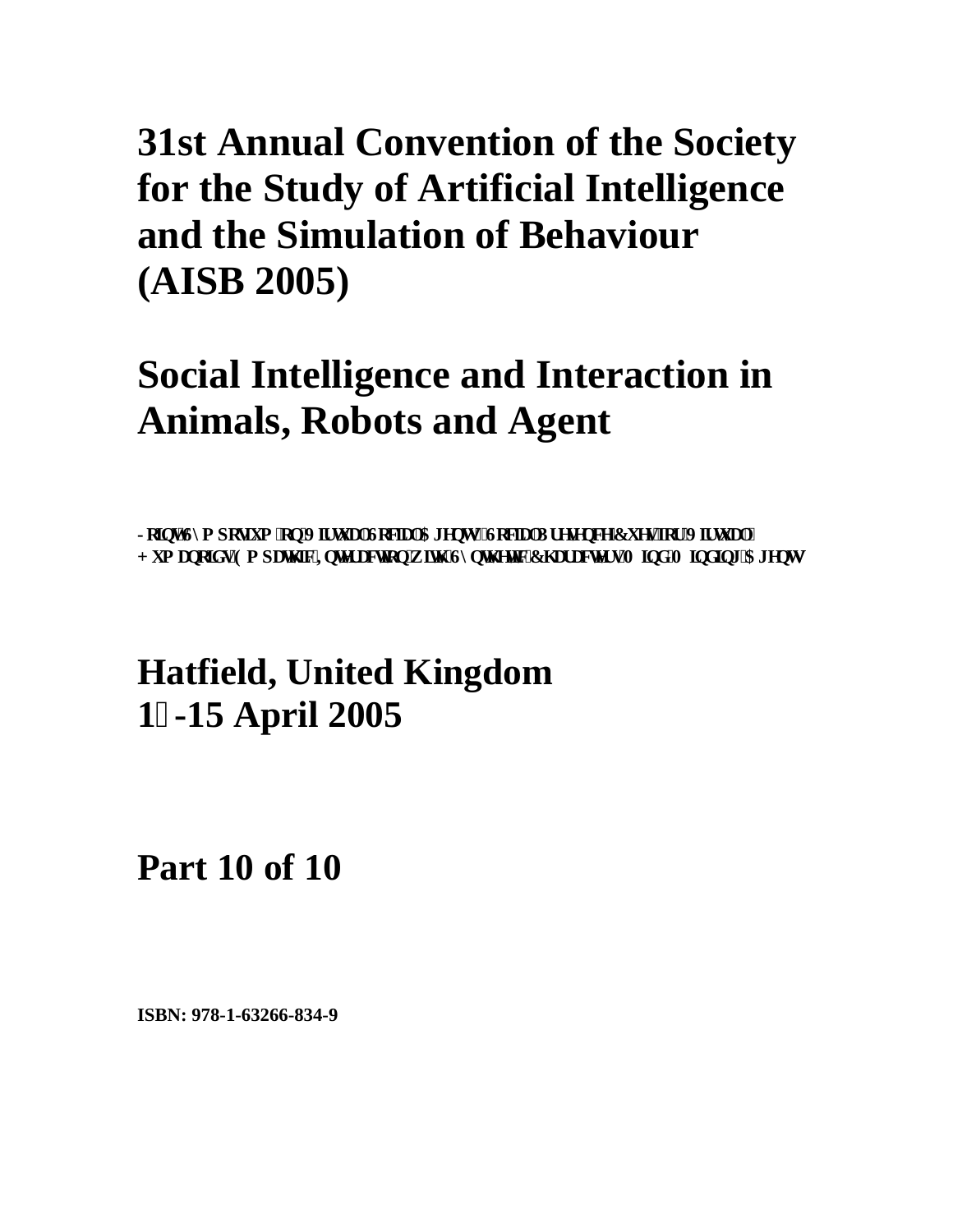## **Social Intelligence and Interaction in Animals, Robots and Agent**

Lqkpv'U{ o r qukwo 'qp'Xkt ww.riUqekcriCi gpvukUqekcriRt gugpeg'E wgu'lnt 'Xkt ww.ri'' **J** wo cpqlf u'Go rcyj le'Kpygtcevlqp'y laj 'U{pyj gyle'Ej ctcevgtu'O lpf 'O lpf lpi 'Ci gpyu

### **Hatfield, United Kingdom 1-15 April 2005**

**Part 10 of 10**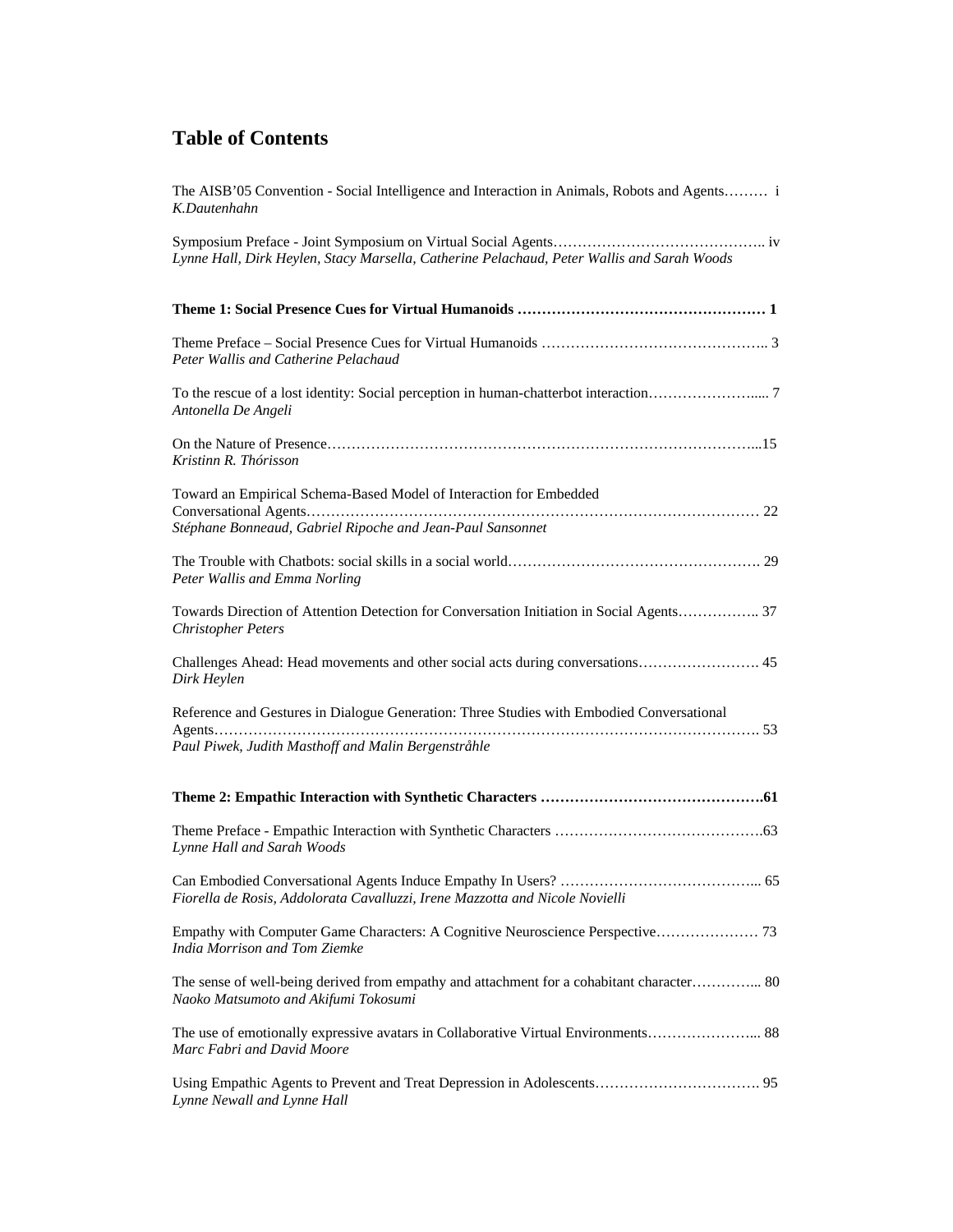| The AISB'05 Convention - Social Intelligence and Interaction in Animals, Robots and Agents i<br>K.Dautenhahn                      |
|-----------------------------------------------------------------------------------------------------------------------------------|
| Lynne Hall, Dirk Heylen, Stacy Marsella, Catherine Pelachaud, Peter Wallis and Sarah Woods                                        |
|                                                                                                                                   |
| Peter Wallis and Catherine Pelachaud                                                                                              |
| Antonella De Angeli                                                                                                               |
| Kristinn R. Thórisson                                                                                                             |
| Toward an Empirical Schema-Based Model of Interaction for Embedded                                                                |
| Stéphane Bonneaud, Gabriel Ripoche and Jean-Paul Sansonnet                                                                        |
| Peter Wallis and Emma Norling                                                                                                     |
| Towards Direction of Attention Detection for Conversation Initiation in Social Agents 37<br><b>Christopher Peters</b>             |
| Challenges Ahead: Head movements and other social acts during conversations 45<br>Dirk Heylen                                     |
| Reference and Gestures in Dialogue Generation: Three Studies with Embodied Conversational                                         |
| Paul Piwek, Judith Masthoff and Malin Bergenstråhle                                                                               |
|                                                                                                                                   |
| Lynne Hall and Sarah Woods                                                                                                        |
| Fiorella de Rosis, Addolorata Cavalluzzi, Irene Mazzotta and Nicole Novielli                                                      |
| India Morrison and Tom Ziemke                                                                                                     |
| The sense of well-being derived from empathy and attachment for a cohabitant character 80<br>Naoko Matsumoto and Akifumi Tokosumi |
| Marc Fabri and David Moore                                                                                                        |
| Lynne Newall and Lynne Hall                                                                                                       |